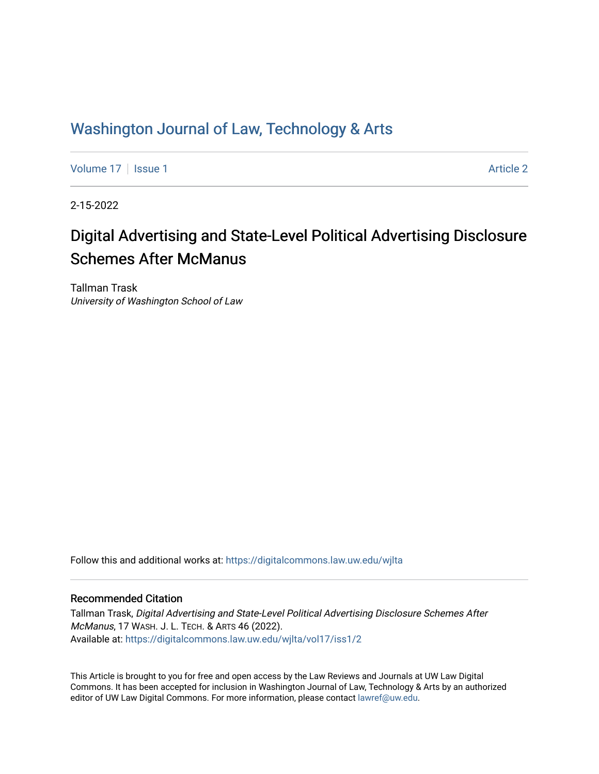# Washington Journal of Law, Technology & Arts

[Volume 17](https://digitalcommons.law.uw.edu/wjlta/vol17) | [Issue 1](https://digitalcommons.law.uw.edu/wjlta/vol17/iss1) [Article 2](https://digitalcommons.law.uw.edu/wjlta/vol17/iss1/2) Article 2 Article 2 Article 2 Article 2 Article 2 Article 2 Article 2 Article 2

2-15-2022

# Digital Advertising and State-Level Political Advertising Disclosure Schemes After McManus

Tallman Trask University of Washington School of Law

Follow this and additional works at: [https://digitalcommons.law.uw.edu/wjlta](https://digitalcommons.law.uw.edu/wjlta?utm_source=digitalcommons.law.uw.edu%2Fwjlta%2Fvol17%2Fiss1%2F2&utm_medium=PDF&utm_campaign=PDFCoverPages) 

#### Recommended Citation

Tallman Trask, Digital Advertising and State-Level Political Advertising Disclosure Schemes After McManus, 17 WASH. J. L. TECH. & ARTS 46 (2022). Available at: [https://digitalcommons.law.uw.edu/wjlta/vol17/iss1/2](https://digitalcommons.law.uw.edu/wjlta/vol17/iss1/2?utm_source=digitalcommons.law.uw.edu%2Fwjlta%2Fvol17%2Fiss1%2F2&utm_medium=PDF&utm_campaign=PDFCoverPages) 

This Article is brought to you for free and open access by the Law Reviews and Journals at UW Law Digital Commons. It has been accepted for inclusion in Washington Journal of Law, Technology & Arts by an authorized editor of UW Law Digital Commons. For more information, please contact [lawref@uw.edu](mailto:lawref@uw.edu).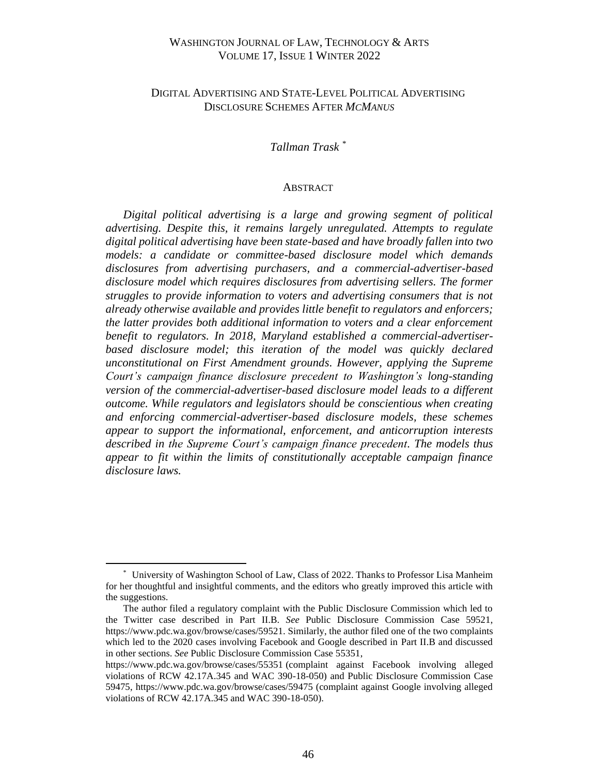### WASHINGTON JOURNAL OF LAW, TECHNOLOGY & ARTS VOLUME 17, ISSUE 1 WINTER 2022

### DIGITAL ADVERTISING AND STATE-LEVEL POLITICAL ADVERTISING DISCLOSURE SCHEMES AFTER *MCMANUS*

### *Tallman Trask \**

#### ABSTRACT

*Digital political advertising is a large and growing segment of political advertising. Despite this, it remains largely unregulated. Attempts to regulate digital political advertising have been state-based and have broadly fallen into two models: a candidate or committee-based disclosure model which demands disclosures from advertising purchasers, and a commercial-advertiser-based disclosure model which requires disclosures from advertising sellers. The former struggles to provide information to voters and advertising consumers that is not already otherwise available and provides little benefit to regulators and enforcers; the latter provides both additional information to voters and a clear enforcement benefit to regulators. In 2018, Maryland established a commercial-advertiserbased disclosure model; this iteration of the model was quickly declared unconstitutional on First Amendment grounds*. *However, applying the Supreme Court's campaign finance disclosure precedent to Washington's long-standing version of the commercial-advertiser-based disclosure model leads to a different outcome. While regulators and legislators should be conscientious when creating and enforcing commercial-advertiser-based disclosure models, these schemes appear to support the informational, enforcement, and anticorruption interests described in the Supreme Court's campaign finance precedent. The models thus appear to fit within the limits of constitutionally acceptable campaign finance disclosure laws.*

<sup>\*</sup> University of Washington School of Law, Class of 2022. Thanks to Professor Lisa Manheim for her thoughtful and insightful comments, and the editors who greatly improved this article with the suggestions.

The author filed a regulatory complaint with the Public Disclosure Commission which led to the Twitter case described in Part II.B. *See* Public Disclosure Commission Case 59521, https://www.pdc.wa.gov/browse/cases/59521. Similarly, the author filed one of the two complaints which led to the 2020 cases involving Facebook and Google described in Part II.B and discussed in other sections. *See* Public Disclosure Commission Case 55351,

https://www.pdc.wa.gov/browse/cases/55351 (complaint against Facebook involving alleged violations of RCW 42.17A.345 and WAC 390-18-050) and Public Disclosure Commission Case 59475, https://www.pdc.wa.gov/browse/cases/59475 (complaint against Google involving alleged violations of RCW 42.17A.345 and WAC 390-18-050).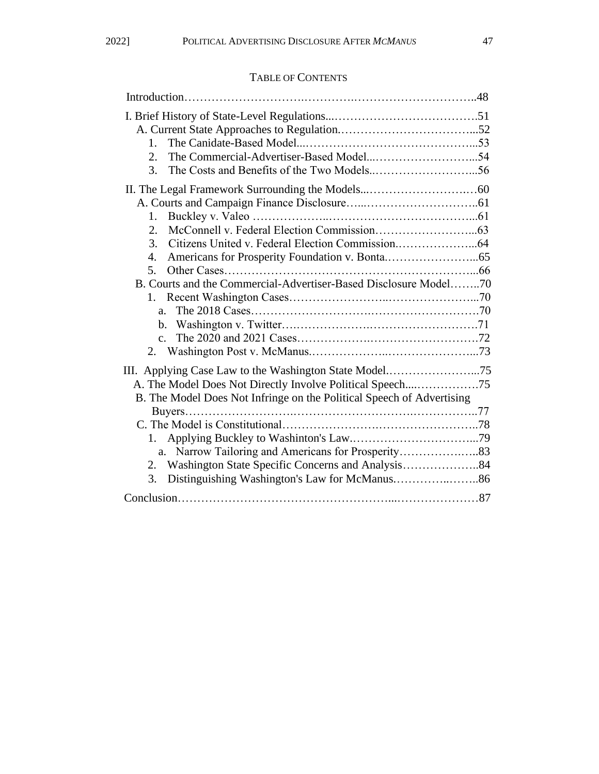## TABLE OF CONTENTS

| $1_{-}$                                                               |  |
|-----------------------------------------------------------------------|--|
| 2.                                                                    |  |
| 3.                                                                    |  |
|                                                                       |  |
|                                                                       |  |
| 1.                                                                    |  |
| 2.                                                                    |  |
| 3.                                                                    |  |
| 4.                                                                    |  |
| 5.                                                                    |  |
| B. Courts and the Commercial-Advertiser-Based Disclosure Model70      |  |
| 1.                                                                    |  |
|                                                                       |  |
|                                                                       |  |
|                                                                       |  |
|                                                                       |  |
| III. Applying Case Law to the Washington State Model75                |  |
| A. The Model Does Not Directly Involve Political Speech75             |  |
| B. The Model Does Not Infringe on the Political Speech of Advertising |  |
|                                                                       |  |
|                                                                       |  |
| 1.                                                                    |  |
|                                                                       |  |
|                                                                       |  |
|                                                                       |  |
|                                                                       |  |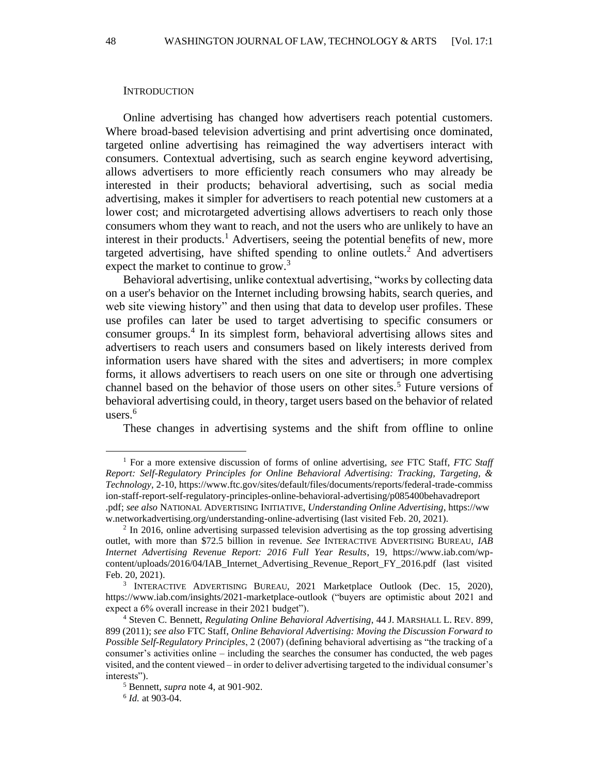#### **INTRODUCTION**

Online advertising has changed how advertisers reach potential customers. Where broad-based television advertising and print advertising once dominated, targeted online advertising has reimagined the way advertisers interact with consumers. Contextual advertising, such as search engine keyword advertising, allows advertisers to more efficiently reach consumers who may already be interested in their products; behavioral advertising, such as social media advertising, makes it simpler for advertisers to reach potential new customers at a lower cost; and microtargeted advertising allows advertisers to reach only those consumers whom they want to reach, and not the users who are unlikely to have an interest in their products.<sup>1</sup> Advertisers, seeing the potential benefits of new, more targeted advertising, have shifted spending to online outlets.<sup>2</sup> And advertisers expect the market to continue to grow.<sup>3</sup>

Behavioral advertising, unlike contextual advertising, "works by collecting data on a user's behavior on the Internet including browsing habits, search queries, and web site viewing history" and then using that data to develop user profiles. These use profiles can later be used to target advertising to specific consumers or consumer groups.<sup>4</sup> In its simplest form, behavioral advertising allows sites and advertisers to reach users and consumers based on likely interests derived from information users have shared with the sites and advertisers; in more complex forms, it allows advertisers to reach users on one site or through one advertising channel based on the behavior of those users on other sites.<sup>5</sup> Future versions of behavioral advertising could, in theory, target users based on the behavior of related users. $6$ 

These changes in advertising systems and the shift from offline to online

<sup>1</sup> For a more extensive discussion of forms of online advertising, *see* FTC Staff, *FTC Staff Report: Self-Regulatory Principles for Online Behavioral Advertising: Tracking, Targeting, & Technology*, 2-10, https://www.ftc.gov/sites/default/files/documents/reports/federal-trade-commiss ion-staff-report-self-regulatory-principles-online-behavioral-advertising/p085400behavadreport .pdf; *see also* NATIONAL ADVERTISING INITIATIVE, *Understanding Online Advertising*, https://ww w.networkadvertising.org/understanding-online-advertising (last visited Feb. 20, 2021).

<sup>&</sup>lt;sup>2</sup> In 2016, online advertising surpassed television advertising as the top grossing advertising outlet, with more than \$72.5 billion in revenue. *See* INTERACTIVE ADVERTISING BUREAU, *IAB Internet Advertising Revenue Report: 2016 Full Year Results*, 19, https://www.iab.com/wpcontent/uploads/2016/04/IAB\_Internet\_Advertising\_Revenue\_Report\_FY\_2016.pdf (last visited Feb. 20, 2021).

<sup>&</sup>lt;sup>3</sup> INTERACTIVE ADVERTISING BUREAU, 2021 Marketplace Outlook (Dec. 15, 2020), https://www.iab.com/insights/2021-marketplace-outlook ("buyers are optimistic about 2021 and expect a 6% overall increase in their 2021 budget").

<sup>4</sup> Steven C. Bennett, *Regulating Online Behavioral Advertising*, 44 J. MARSHALL L. REV. 899, 899 (2011); *see also* FTC Staff, *Online Behavioral Advertising: Moving the Discussion Forward to Possible Self-Regulatory Principles*, 2 (2007) (defining behavioral advertising as "the tracking of a consumer's activities online – including the searches the consumer has conducted, the web pages visited, and the content viewed – in order to deliver advertising targeted to the individual consumer's interests").

<sup>5</sup> Bennett, *supra* note 4, at 901-902.

<sup>6</sup> *Id.* at 903-04.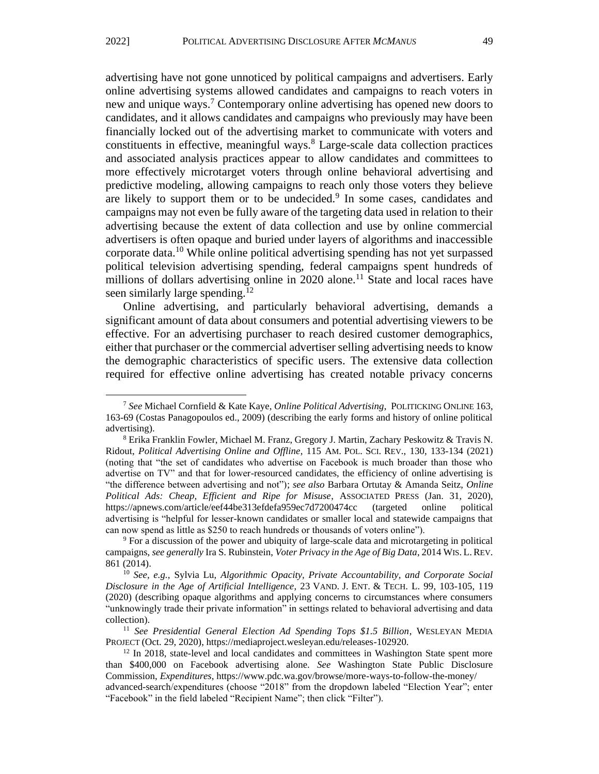advertising have not gone unnoticed by political campaigns and advertisers. Early online advertising systems allowed candidates and campaigns to reach voters in new and unique ways.<sup>7</sup> Contemporary online advertising has opened new doors to candidates, and it allows candidates and campaigns who previously may have been financially locked out of the advertising market to communicate with voters and constituents in effective, meaningful ways. $8$  Large-scale data collection practices and associated analysis practices appear to allow candidates and committees to more effectively microtarget voters through online behavioral advertising and predictive modeling, allowing campaigns to reach only those voters they believe are likely to support them or to be undecided.<sup>9</sup> In some cases, candidates and campaigns may not even be fully aware of the targeting data used in relation to their advertising because the extent of data collection and use by online commercial advertisers is often opaque and buried under layers of algorithms and inaccessible corporate data.<sup>10</sup> While online political advertising spending has not yet surpassed political television advertising spending, federal campaigns spent hundreds of millions of dollars advertising online in  $2020$  alone.<sup>11</sup> State and local races have seen similarly large spending.<sup>12</sup>

Online advertising, and particularly behavioral advertising, demands a significant amount of data about consumers and potential advertising viewers to be effective. For an advertising purchaser to reach desired customer demographics, either that purchaser or the commercial advertiser selling advertising needs to know the demographic characteristics of specific users. The extensive data collection required for effective online advertising has created notable privacy concerns

<sup>7</sup> *See* Michael Cornfield & Kate Kaye, *Online Political Advertising*, POLITICKING ONLINE 163, 163-69 (Costas Panagopoulos ed., 2009) (describing the early forms and history of online political advertising).

<sup>8</sup> Erika Franklin Fowler, Michael M. Franz, Gregory J. Martin, Zachary Peskowitz & Travis N. Ridout, *Political Advertising Online and Offline*, 115 AM. POL. SCI. REV., 130, 133-134 (2021) (noting that "the set of candidates who advertise on Facebook is much broader than those who advertise on TV" and that for lower-resourced candidates, the efficiency of online advertising is "the difference between advertising and not"); *see also* Barbara Ortutay & Amanda Seitz, *Online Political Ads: Cheap, Efficient and Ripe for Misuse*, ASSOCIATED PRESS (Jan. 31, 2020), https://apnews.com/article/eef44be313efdefa959ec7d7200474cc (targeted online political advertising is "helpful for lesser-known candidates or smaller local and statewide campaigns that can now spend as little as \$250 to reach hundreds or thousands of voters online").

<sup>9</sup> For a discussion of the power and ubiquity of large-scale data and microtargeting in political campaigns, *see generally* Ira S. Rubinstein, *Voter Privacy in the Age of Big Data*, 2014 WIS. L. REV. 861 (2014).

<sup>10</sup> *See, e.g.,* Sylvia Lu, *Algorithmic Opacity, Private Accountability, and Corporate Social Disclosure in the Age of Artificial Intelligence*, 23 VAND. J. ENT. & TECH. L. 99, 103-105, 119 (2020) (describing opaque algorithms and applying concerns to circumstances where consumers "unknowingly trade their private information" in settings related to behavioral advertising and data collection).

<sup>&</sup>lt;sup>11</sup> See Presidential General Election Ad Spending Tops \$1.5 Billion, WESLEYAN MEDIA PROJECT (Oct. 29, 2020), https://mediaproject.wesleyan.edu/releases-102920.

<sup>&</sup>lt;sup>12</sup> In 2018, state-level and local candidates and committees in Washington State spent more than \$400,000 on Facebook advertising alone. *See* Washington State Public Disclosure Commission, *Expenditures*, https://www.pdc.wa.gov/browse/more-ways-to-follow-the-money/

advanced-search/expenditures (choose "2018" from the dropdown labeled "Election Year"; enter "Facebook" in the field labeled "Recipient Name"; then click "Filter").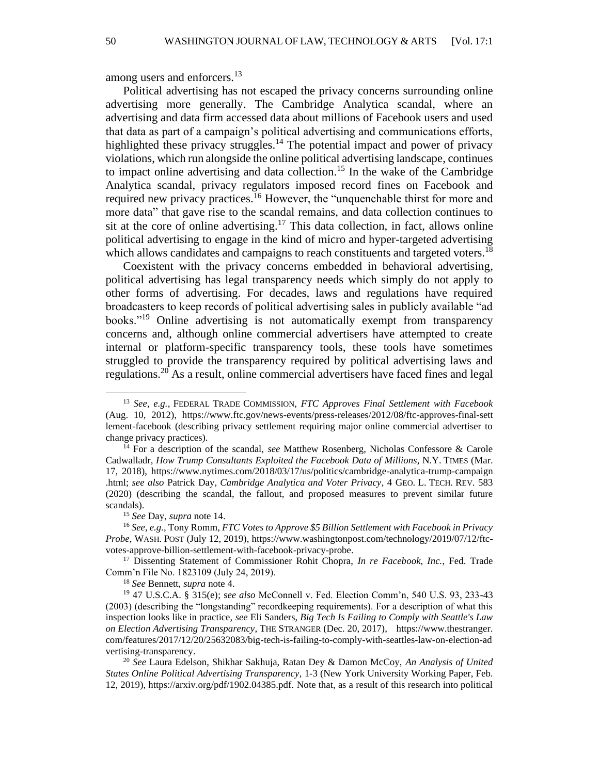among users and enforcers.<sup>13</sup>

Political advertising has not escaped the privacy concerns surrounding online advertising more generally. The Cambridge Analytica scandal, where an advertising and data firm accessed data about millions of Facebook users and used that data as part of a campaign's political advertising and communications efforts, highlighted these privacy struggles.<sup>14</sup> The potential impact and power of privacy violations, which run alongside the online political advertising landscape, continues to impact online advertising and data collection. <sup>15</sup> In the wake of the Cambridge Analytica scandal, privacy regulators imposed record fines on Facebook and required new privacy practices.<sup>16</sup> However, the "unquenchable thirst for more and more data" that gave rise to the scandal remains, and data collection continues to sit at the core of online advertising.<sup>17</sup> This data collection, in fact, allows online political advertising to engage in the kind of micro and hyper-targeted advertising which allows candidates and campaigns to reach constituents and targeted voters.<sup>18</sup>

Coexistent with the privacy concerns embedded in behavioral advertising, political advertising has legal transparency needs which simply do not apply to other forms of advertising. For decades, laws and regulations have required broadcasters to keep records of political advertising sales in publicly available "ad books."<sup>19</sup> Online advertising is not automatically exempt from transparency concerns and, although online commercial advertisers have attempted to create internal or platform-specific transparency tools, these tools have sometimes struggled to provide the transparency required by political advertising laws and regulations.<sup>20</sup> As a result, online commercial advertisers have faced fines and legal

<sup>13</sup> *See, e.g.*, FEDERAL TRADE COMMISSION, *FTC Approves Final Settlement with Facebook*  (Aug. 10, 2012), https://www.ftc.gov/news-events/press-releases/2012/08/ftc-approves-final-sett lement-facebook (describing privacy settlement requiring major online commercial advertiser to change privacy practices).

<sup>14</sup> For a description of the scandal, *see* Matthew Rosenberg, Nicholas Confessore & Carole Cadwalladr, *How Trump Consultants Exploited the Facebook Data of Millions*, N.Y. TIMES (Mar. 17, 2018), https://www.nytimes.com/2018/03/17/us/politics/cambridge-analytica-trump-campaign .html; *see also* Patrick Day, *Cambridge Analytica and Voter Privacy*, 4 GEO. L. TECH. REV. 583 (2020) (describing the scandal, the fallout, and proposed measures to prevent similar future scandals).

<sup>15</sup> *See* Day, *supra* note 14.

<sup>16</sup> *See, e.g.,* Tony Romm, *FTC Votes to Approve \$5 Billion Settlement with Facebook in Privacy Probe*, WASH. POST (July 12, 2019), https://www.washingtonpost.com/technology/2019/07/12/ftcvotes-approve-billion-settlement-with-facebook-privacy-probe.

<sup>17</sup> Dissenting Statement of Commissioner Rohit Chopra, *In re Facebook, Inc.*, Fed. Trade Comm'n File No. 1823109 (July 24, 2019).

<sup>18</sup> *See* Bennett, *supra* note 4.

<sup>19</sup> 47 U.S.C.A. § 315(e); s*ee also* McConnell v. Fed. Election Comm'n, 540 U.S. 93, 233-43 (2003) (describing the "longstanding" recordkeeping requirements). For a description of what this inspection looks like in practice, *see* Eli Sanders, *Big Tech Is Failing to Comply with Seattle's Law on Election Advertising Transparency*, THE STRANGER (Dec. 20, 2017), https://www.thestranger. com/features/2017/12/20/25632083/big-tech-is-failing-to-comply-with-seattles-law-on-election-ad vertising-transparency.

<sup>20</sup> *See* Laura Edelson, Shikhar Sakhuja, Ratan Dey & Damon McCoy, *An Analysis of United States Online Political Advertising Transparency*, 1-3 (New York University Working Paper, Feb. 12, 2019), https://arxiv.org/pdf/1902.04385.pdf. Note that, as a result of this research into political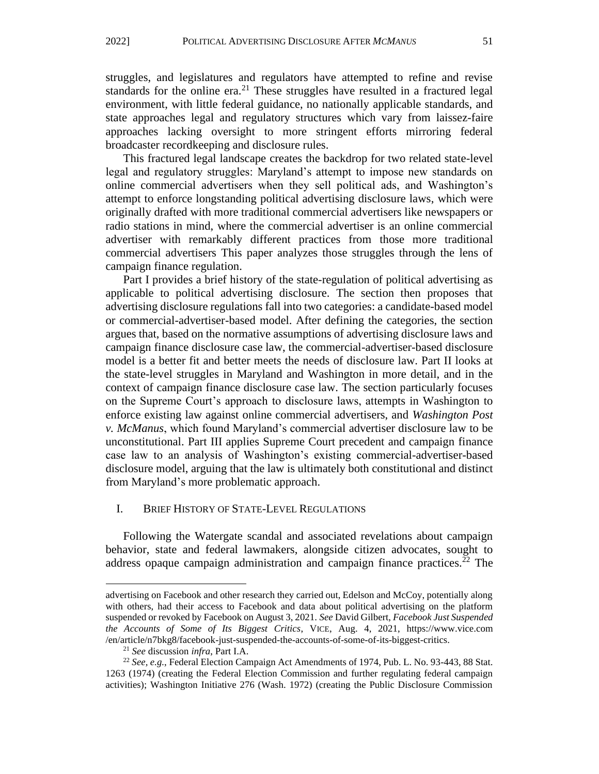struggles, and legislatures and regulators have attempted to refine and revise standards for the online era.<sup>21</sup> These struggles have resulted in a fractured legal environment, with little federal guidance, no nationally applicable standards, and state approaches legal and regulatory structures which vary from laissez-faire approaches lacking oversight to more stringent efforts mirroring federal broadcaster recordkeeping and disclosure rules.

This fractured legal landscape creates the backdrop for two related state-level legal and regulatory struggles: Maryland's attempt to impose new standards on online commercial advertisers when they sell political ads, and Washington's attempt to enforce longstanding political advertising disclosure laws, which were originally drafted with more traditional commercial advertisers like newspapers or radio stations in mind, where the commercial advertiser is an online commercial advertiser with remarkably different practices from those more traditional commercial advertisers This paper analyzes those struggles through the lens of campaign finance regulation.

Part I provides a brief history of the state-regulation of political advertising as applicable to political advertising disclosure. The section then proposes that advertising disclosure regulations fall into two categories: a candidate-based model or commercial-advertiser-based model. After defining the categories, the section argues that, based on the normative assumptions of advertising disclosure laws and campaign finance disclosure case law, the commercial-advertiser-based disclosure model is a better fit and better meets the needs of disclosure law. Part II looks at the state-level struggles in Maryland and Washington in more detail, and in the context of campaign finance disclosure case law. The section particularly focuses on the Supreme Court's approach to disclosure laws, attempts in Washington to enforce existing law against online commercial advertisers, and *Washington Post v. McManus*, which found Maryland's commercial advertiser disclosure law to be unconstitutional. Part III applies Supreme Court precedent and campaign finance case law to an analysis of Washington's existing commercial-advertiser-based disclosure model, arguing that the law is ultimately both constitutional and distinct from Maryland's more problematic approach.

#### I. BRIEF HISTORY OF STATE-LEVEL REGULATIONS

Following the Watergate scandal and associated revelations about campaign behavior, state and federal lawmakers, alongside citizen advocates, sought to address opaque campaign administration and campaign finance practices.<sup>22</sup> The

advertising on Facebook and other research they carried out, Edelson and McCoy, potentially along with others, had their access to Facebook and data about political advertising on the platform suspended or revoked by Facebook on August 3, 2021. *See* David Gilbert, *Facebook Just Suspended the Accounts of Some of Its Biggest Critics*, VICE, Aug. 4, 2021, https://www.vice.com /en/article/n7bkg8/facebook-just-suspended-the-accounts-of-some-of-its-biggest-critics.

<sup>21</sup> *See* discussion *infra*, Part I.A.

<sup>22</sup> *See, e.g.*, Federal Election Campaign Act Amendments of 1974, Pub. L. No. 93-443, 88 Stat. 1263 (1974) (creating the Federal Election Commission and further regulating federal campaign activities); Washington Initiative 276 (Wash. 1972) (creating the Public Disclosure Commission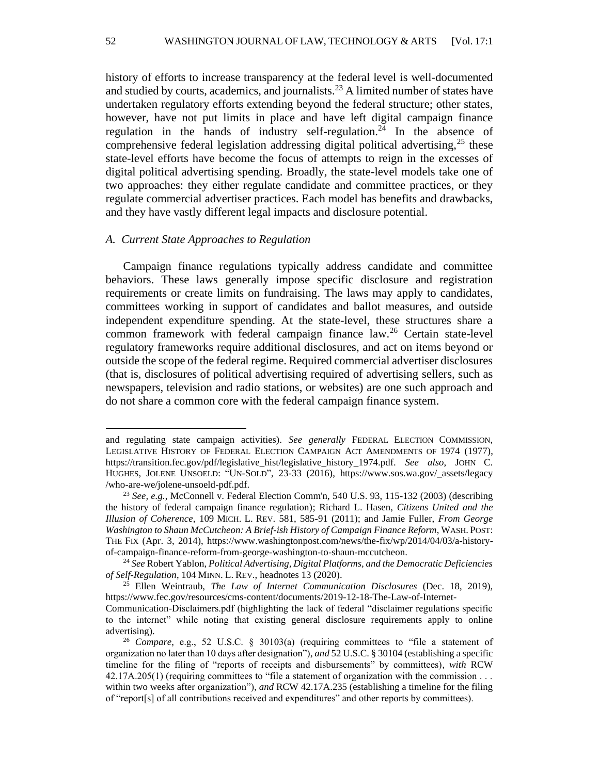history of efforts to increase transparency at the federal level is well-documented and studied by courts, academics, and journalists.<sup>23</sup> A limited number of states have undertaken regulatory efforts extending beyond the federal structure; other states, however, have not put limits in place and have left digital campaign finance regulation in the hands of industry self-regulation.<sup>24</sup> In the absence of comprehensive federal legislation addressing digital political advertising, $25$  these state-level efforts have become the focus of attempts to reign in the excesses of digital political advertising spending. Broadly, the state-level models take one of two approaches: they either regulate candidate and committee practices, or they regulate commercial advertiser practices. Each model has benefits and drawbacks, and they have vastly different legal impacts and disclosure potential.

#### *A. Current State Approaches to Regulation*

Campaign finance regulations typically address candidate and committee behaviors. These laws generally impose specific disclosure and registration requirements or create limits on fundraising. The laws may apply to candidates, committees working in support of candidates and ballot measures, and outside independent expenditure spending. At the state-level, these structures share a common framework with federal campaign finance law.<sup>26</sup> Certain state-level regulatory frameworks require additional disclosures, and act on items beyond or outside the scope of the federal regime. Required commercial advertiser disclosures (that is, disclosures of political advertising required of advertising sellers, such as newspapers, television and radio stations, or websites) are one such approach and do not share a common core with the federal campaign finance system.

and regulating state campaign activities). *See generally* FEDERAL ELECTION COMMISSION, LEGISLATIVE HISTORY OF FEDERAL ELECTION CAMPAIGN ACT AMENDMENTS OF 1974 (1977), https://transition.fec.gov/pdf/legislative\_hist/legislative\_history\_1974.pdf. *See also*, JOHN C. HUGHES, JOLENE UNSOELD: "UN-SOLD", 23-33 (2016), https://www.sos.wa.gov/\_assets/legacy /who-are-we/jolene-unsoeld-pdf.pdf.

<sup>23</sup> *See, e.g.*, McConnell v. Federal Election Comm'n, 540 U.S. 93, 115-132 (2003) (describing the history of federal campaign finance regulation); Richard L. Hasen, *Citizens United and the Illusion of Coherence*, 109 MICH. L. REV. 581, 585-91 (2011); and Jamie Fuller, *From George Washington to Shaun McCutcheon: A Brief-ish History of Campaign Finance Reform*, WASH. POST: THE FIX (Apr. 3, 2014), https://www.washingtonpost.com/news/the-fix/wp/2014/04/03/a-historyof-campaign-finance-reform-from-george-washington-to-shaun-mccutcheon.

<sup>24</sup> *See* Robert Yablon, *Political Advertising, Digital Platforms, and the Democratic Deficiencies of Self-Regulation*, 104 MINN. L. REV., headnotes 13 (2020).

<sup>25</sup> Ellen Weintraub, *The Law of Internet Communication Disclosures* (Dec. 18, 2019), https://www.fec.gov/resources/cms-content/documents/2019-12-18-The-Law-of-Internet-

Communication-Disclaimers.pdf (highlighting the lack of federal "disclaimer regulations specific to the internet" while noting that existing general disclosure requirements apply to online advertising).

<sup>26</sup> *Compare*, e.g., 52 U.S.C. § 30103(a) (requiring committees to "file a statement of organization no later than 10 days after designation"), *and* 52 U.S.C. § 30104 (establishing a specific timeline for the filing of "reports of receipts and disbursements" by committees), *with* RCW 42.17A.205(1) (requiring committees to "file a statement of organization with the commission . . . within two weeks after organization"), and RCW 42.17A.235 (establishing a timeline for the filing of "report[s] of all contributions received and expenditures" and other reports by committees).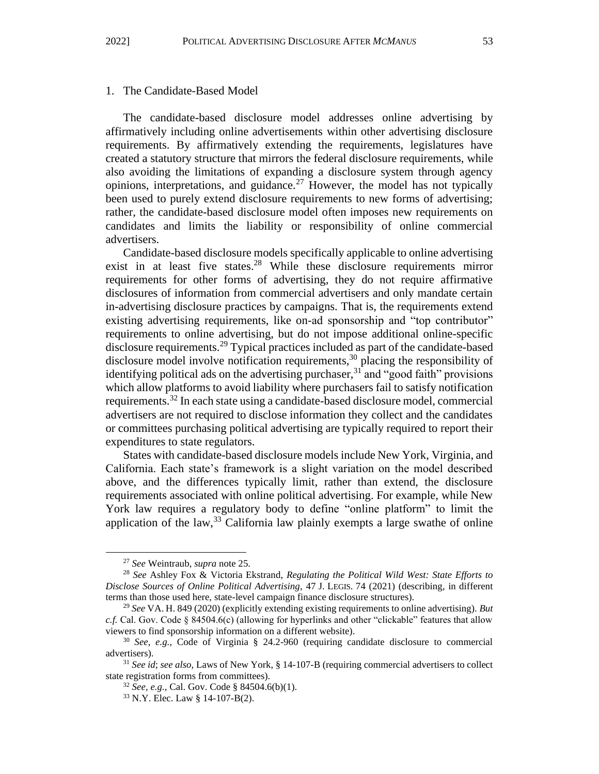#### 1. The Candidate-Based Model

The candidate-based disclosure model addresses online advertising by affirmatively including online advertisements within other advertising disclosure requirements. By affirmatively extending the requirements, legislatures have created a statutory structure that mirrors the federal disclosure requirements, while also avoiding the limitations of expanding a disclosure system through agency opinions, interpretations, and guidance.<sup>27</sup> However, the model has not typically been used to purely extend disclosure requirements to new forms of advertising; rather, the candidate-based disclosure model often imposes new requirements on candidates and limits the liability or responsibility of online commercial advertisers.

Candidate-based disclosure models specifically applicable to online advertising exist in at least five states.<sup>28</sup> While these disclosure requirements mirror requirements for other forms of advertising, they do not require affirmative disclosures of information from commercial advertisers and only mandate certain in-advertising disclosure practices by campaigns. That is, the requirements extend existing advertising requirements, like on-ad sponsorship and "top contributor" requirements to online advertising, but do not impose additional online-specific disclosure requirements.<sup>29</sup> Typical practices included as part of the candidate-based disclosure model involve notification requirements,<sup>30</sup> placing the responsibility of identifying political ads on the advertising purchaser, $31$  and "good faith" provisions which allow platforms to avoid liability where purchasers fail to satisfy notification requirements.<sup>32</sup> In each state using a candidate-based disclosure model, commercial advertisers are not required to disclose information they collect and the candidates or committees purchasing political advertising are typically required to report their expenditures to state regulators.

States with candidate-based disclosure models include New York, Virginia, and California. Each state's framework is a slight variation on the model described above, and the differences typically limit, rather than extend, the disclosure requirements associated with online political advertising. For example, while New York law requires a regulatory body to define "online platform" to limit the application of the law,  $33\text{ }$  California law plainly exempts a large swathe of online

<sup>27</sup> *See* Weintraub, *supra* note 25.

<sup>28</sup> *See* Ashley Fox & Victoria Ekstrand, *Regulating the Political Wild West: State Efforts to Disclose Sources of Online Political Advertising*, 47 J. LEGIS. 74 (2021) (describing, in different terms than those used here, state-level campaign finance disclosure structures).

<sup>29</sup> *See* VA. H. 849 (2020) (explicitly extending existing requirements to online advertising). *But c.f.* Cal. Gov. Code § 84504.6(c) (allowing for hyperlinks and other "clickable" features that allow viewers to find sponsorship information on a different website).

<sup>30</sup> *See*, *e.g.*, Code of Virginia § 24.2-960 (requiring candidate disclosure to commercial advertisers).

<sup>31</sup> *See id*; *see also,* Laws of New York, § 14-107-B (requiring commercial advertisers to collect state registration forms from committees).

<sup>32</sup> *See, e.g.,* Cal. Gov. Code § 84504.6(b)(1).

<sup>33</sup> N.Y. Elec. Law § 14-107-B(2).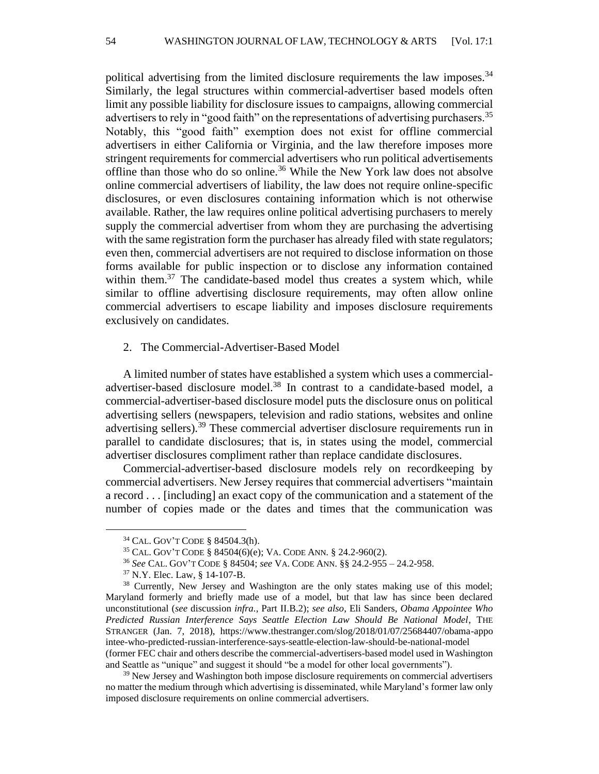political advertising from the limited disclosure requirements the law imposes.<sup>34</sup> Similarly, the legal structures within commercial-advertiser based models often limit any possible liability for disclosure issues to campaigns, allowing commercial advertisers to rely in "good faith" on the representations of advertising purchasers.<sup>35</sup> Notably, this "good faith" exemption does not exist for offline commercial advertisers in either California or Virginia, and the law therefore imposes more stringent requirements for commercial advertisers who run political advertisements offline than those who do so online.<sup>36</sup> While the New York law does not absolve online commercial advertisers of liability, the law does not require online-specific disclosures, or even disclosures containing information which is not otherwise available. Rather, the law requires online political advertising purchasers to merely supply the commercial advertiser from whom they are purchasing the advertising with the same registration form the purchaser has already filed with state regulators; even then, commercial advertisers are not required to disclose information on those forms available for public inspection or to disclose any information contained within them. $37$  The candidate-based model thus creates a system which, while similar to offline advertising disclosure requirements, may often allow online commercial advertisers to escape liability and imposes disclosure requirements exclusively on candidates.

2. The Commercial-Advertiser-Based Model

A limited number of states have established a system which uses a commercialadvertiser-based disclosure model.<sup>38</sup> In contrast to a candidate-based model, a commercial-advertiser-based disclosure model puts the disclosure onus on political advertising sellers (newspapers, television and radio stations, websites and online advertising sellers).<sup>39</sup> These commercial advertiser disclosure requirements run in parallel to candidate disclosures; that is, in states using the model, commercial advertiser disclosures compliment rather than replace candidate disclosures.

Commercial-advertiser-based disclosure models rely on recordkeeping by commercial advertisers. New Jersey requires that commercial advertisers "maintain a record . . . [including] an exact copy of the communication and a statement of the number of copies made or the dates and times that the communication was

and Seattle as "unique" and suggest it should "be a model for other local governments").

<sup>39</sup> New Jersey and Washington both impose disclosure requirements on commercial advertisers no matter the medium through which advertising is disseminated, while Maryland's former law only imposed disclosure requirements on online commercial advertisers.

<sup>34</sup> CAL. GOV'T CODE § 84504.3(h).

<sup>35</sup> CAL. GOV'T CODE § 84504(6)(e); VA. CODE ANN. § 24.2-960(2).

<sup>36</sup> *See* CAL. GOV'T CODE § 84504; *see* VA. CODE ANN. §§ 24.2-955 – 24.2-958.

<sup>37</sup> N.Y. Elec. Law, § 14-107-B.

<sup>&</sup>lt;sup>38</sup> Currently, New Jersey and Washington are the only states making use of this model; Maryland formerly and briefly made use of a model, but that law has since been declared unconstitutional (*see* discussion *infra.*, Part II.B.2); *see also*, Eli Sanders, *Obama Appointee Who Predicted Russian Interference Says Seattle Election Law Should Be National Model*, THE STRANGER (Jan. 7, 2018), https://www.thestranger.com/slog/2018/01/07/25684407/obama-appo intee-who-predicted-russian-interference-says-seattle-election-law-should-be-national-model (former FEC chair and others describe the commercial-advertisers-based model used in Washington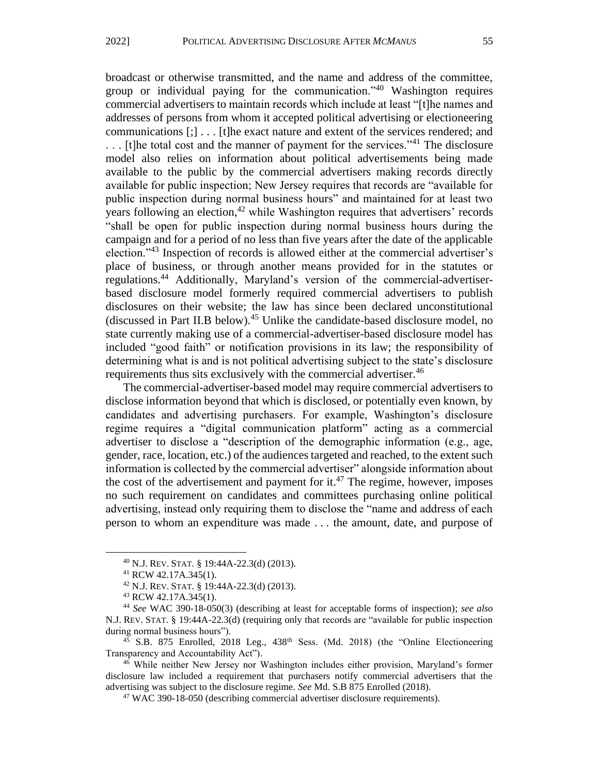broadcast or otherwise transmitted, and the name and address of the committee, group or individual paying for the communication."<sup>40</sup> Washington requires commercial advertisers to maintain records which include at least "[t]he names and addresses of persons from whom it accepted political advertising or electioneering communications [;] . . . [t]he exact nature and extent of the services rendered; and  $\dots$  [t]he total cost and the manner of payment for the services.<sup>341</sup> The disclosure model also relies on information about political advertisements being made available to the public by the commercial advertisers making records directly available for public inspection; New Jersey requires that records are "available for public inspection during normal business hours" and maintained for at least two years following an election, $42$  while Washington requires that advertisers' records "shall be open for public inspection during normal business hours during the campaign and for a period of no less than five years after the date of the applicable election."<sup>43</sup> Inspection of records is allowed either at the commercial advertiser's place of business, or through another means provided for in the statutes or regulations.<sup>44</sup> Additionally, Maryland's version of the commercial-advertiserbased disclosure model formerly required commercial advertisers to publish disclosures on their website; the law has since been declared unconstitutional (discussed in Part II.B below).<sup>45</sup> Unlike the candidate-based disclosure model, no state currently making use of a commercial-advertiser-based disclosure model has included "good faith" or notification provisions in its law; the responsibility of determining what is and is not political advertising subject to the state's disclosure requirements thus sits exclusively with the commercial advertiser.<sup>46</sup>

The commercial-advertiser-based model may require commercial advertisers to disclose information beyond that which is disclosed, or potentially even known, by candidates and advertising purchasers. For example, Washington's disclosure regime requires a "digital communication platform" acting as a commercial advertiser to disclose a "description of the demographic information (e.g., age, gender, race, location, etc.) of the audiences targeted and reached, to the extent such information is collected by the commercial advertiser" alongside information about the cost of the advertisement and payment for it.<sup>47</sup> The regime, however, imposes no such requirement on candidates and committees purchasing online political advertising, instead only requiring them to disclose the "name and address of each person to whom an expenditure was made . . . the amount, date, and purpose of

 $45$  S.B. 875 Enrolled, 2018 Leg., 438<sup>th</sup> Sess. (Md. 2018) (the "Online Electioneering Transparency and Accountability Act").

<sup>46</sup> While neither New Jersey nor Washington includes either provision, Maryland's former disclosure law included a requirement that purchasers notify commercial advertisers that the advertising was subject to the disclosure regime. *See* Md. S.B 875 Enrolled (2018).

<sup>47</sup> WAC 390-18-050 (describing commercial advertiser disclosure requirements).

<sup>40</sup> N.J. REV. STAT. § 19:44A-22.3(d) (2013).

<sup>41</sup> RCW 42.17A.345(1).

<sup>42</sup> N.J. REV. STAT. § 19:44A-22.3(d) (2013).

<sup>43</sup> RCW 42.17A.345(1).

<sup>44</sup> *See* WAC 390-18-050(3) (describing at least for acceptable forms of inspection); *see also* N.J. REV. STAT. § 19:44A-22.3(d) (requiring only that records are "available for public inspection during normal business hours").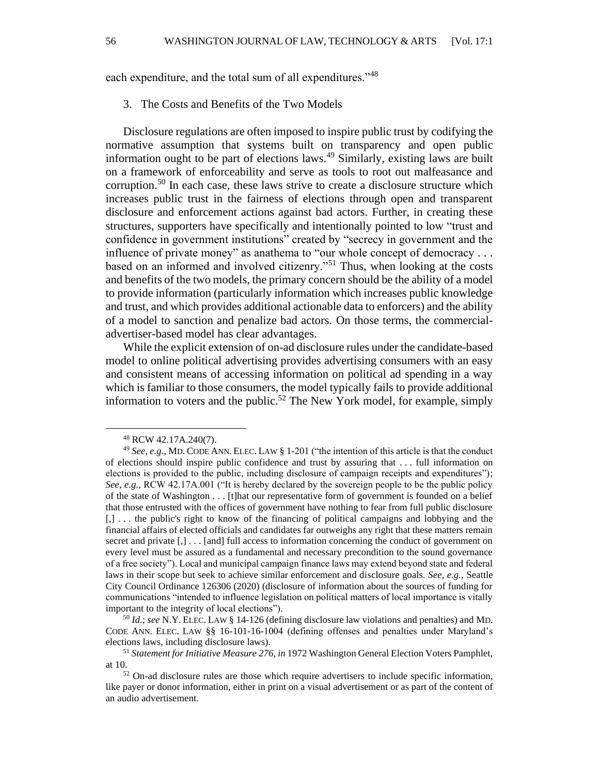each expenditure, and the total sum of all expenditures."<sup>48</sup>

3. The Costs and Benefits of the Two Models

Disclosure regulations are often imposed to inspire public trust by codifying the normative assumption that systems built on transparency and open public information ought to be part of elections laws.<sup>49</sup> Similarly, existing laws are built on a framework of enforceability and serve as tools to root out malfeasance and corruption.<sup>50</sup> In each case, these laws strive to create a disclosure structure which increases public trust in the fairness of elections through open and transparent disclosure and enforcement actions against bad actors. Further, in creating these structures, supporters have specifically and intentionally pointed to low "trust and confidence in government institutions" created by "secrecy in government and the influence of private money" as anathema to "our whole concept of democracy . . . based on an informed and involved citizenry."<sup>51</sup> Thus, when looking at the costs and benefits of the two models, the primary concern should be the ability of a model to provide information (particularly information which increases public knowledge and trust, and which provides additional actionable data to enforcers) and the ability of a model to sanction and penalize bad actors. On those terms, the commercialadvertiser-based model has clear advantages.

While the explicit extension of on-ad disclosure rules under the candidate-based model to online political advertising provides advertising consumers with an easy and consistent means of accessing information on political ad spending in a way which is familiar to those consumers, the model typically fails to provide additional information to voters and the public.<sup>52</sup> The New York model, for example, simply

<sup>48</sup> RCW 42.17A.240(7).

<sup>49</sup> *See, e.g.*, MD. CODE ANN. ELEC. LAW § 1-201 ("the intention of this article is that the conduct of elections should inspire public confidence and trust by assuring that . . . full information on elections is provided to the public, including disclosure of campaign receipts and expenditures"); *See, e.g.,* RCW 42.17A.001 ("It is hereby declared by the sovereign people to be the public policy of the state of Washington . . . [t]hat our representative form of government is founded on a belief that those entrusted with the offices of government have nothing to fear from full public disclosure [,] . . . the public's right to know of the financing of political campaigns and lobbying and the financial affairs of elected officials and candidates far outweighs any right that these matters remain secret and private [,] . . . [and] full access to information concerning the conduct of government on every level must be assured as a fundamental and necessary precondition to the sound governance of a free society"). Local and municipal campaign finance laws may extend beyond state and federal laws in their scope but seek to achieve similar enforcement and disclosure goals. *See, e.g.*, Seattle City Council Ordinance 126306 (2020) (disclosure of information about the sources of funding for communications "intended to influence legislation on political matters of local importance is vitally important to the integrity of local elections").

<sup>50</sup> *Id.*; *see* N.Y. ELEC. LAW § 14-126 (defining disclosure law violations and penalties) and MD. CODE ANN. ELEC. LAW §§ 16-101-16-1004 (defining offenses and penalties under Maryland's elections laws, including disclosure laws).

<sup>51</sup> *Statement for Initiative Measure 276, in* 1972 Washington General Election Voters Pamphlet, at 10.

 $52$  On-ad disclosure rules are those which require advertisers to include specific information, like payer or donor information, either in print on a visual advertisement or as part of the content of an audio advertisement.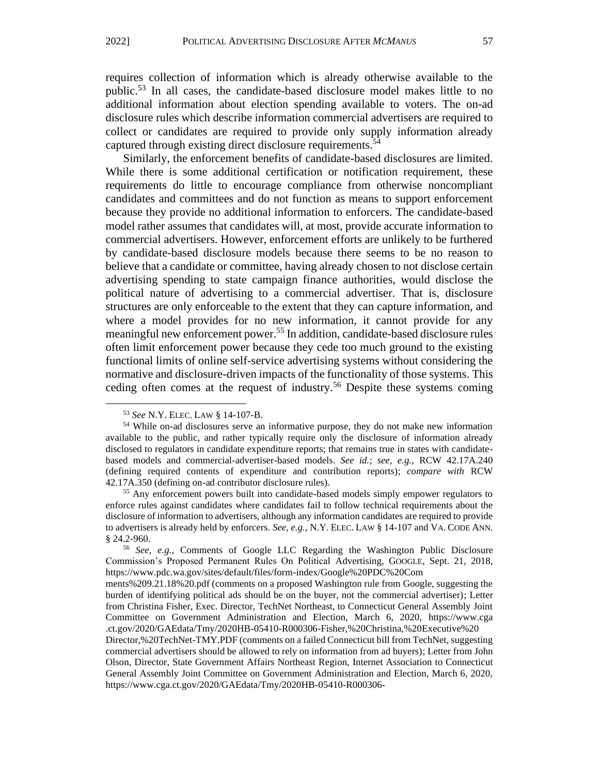requires collection of information which is already otherwise available to the public.<sup>53</sup> In all cases, the candidate-based disclosure model makes little to no additional information about election spending available to voters. The on-ad disclosure rules which describe information commercial advertisers are required to collect or candidates are required to provide only supply information already captured through existing direct disclosure requirements. 54

Similarly, the enforcement benefits of candidate-based disclosures are limited. While there is some additional certification or notification requirement, these requirements do little to encourage compliance from otherwise noncompliant candidates and committees and do not function as means to support enforcement because they provide no additional information to enforcers. The candidate-based model rather assumes that candidates will, at most, provide accurate information to commercial advertisers. However, enforcement efforts are unlikely to be furthered by candidate-based disclosure models because there seems to be no reason to believe that a candidate or committee, having already chosen to not disclose certain advertising spending to state campaign finance authorities, would disclose the political nature of advertising to a commercial advertiser. That is, disclosure structures are only enforceable to the extent that they can capture information, and where a model provides for no new information, it cannot provide for any meaningful new enforcement power.<sup>55</sup> In addition, candidate-based disclosure rules often limit enforcement power because they cede too much ground to the existing functional limits of online self-service advertising systems without considering the normative and disclosure-driven impacts of the functionality of those systems. This ceding often comes at the request of industry.<sup>56</sup> Despite these systems coming

<sup>53</sup> *See* N.Y. ELEC. LAW § 14-107-B.

<sup>54</sup> While on-ad disclosures serve an informative purpose, they do not make new information available to the public, and rather typically require only the disclosure of information already disclosed to regulators in candidate expenditure reports; that remains true in states with candidatebased models and commercial-advertiser-based models. *See id.*; *see, e.g.,* RCW 42.17A.240 (defining required contents of expenditure and contribution reports); *compare with* RCW 42.17A.350 (defining on-ad contributor disclosure rules).

<sup>&</sup>lt;sup>55</sup> Any enforcement powers built into candidate-based models simply empower regulators to enforce rules against candidates where candidates fail to follow technical requirements about the disclosure of information to advertisers, although any information candidates are required to provide to advertisers is already held by enforcers. *See, e.g.,* N.Y. ELEC. LAW § 14-107 and VA. CODE ANN. § 24.2-960.

<sup>56</sup> *See, e.g.,* Comments of Google LLC Regarding the Washington Public Disclosure Commission's Proposed Permanent Rules On Political Advertising, GOOGLE, Sept. 21, 2018, https://www.pdc.wa.gov/sites/default/files/form-index/Google%20PDC%20Com

ments%209.21.18%20.pdf (comments on a proposed Washington rule from Google, suggesting the burden of identifying political ads should be on the buyer, not the commercial advertiser); Letter from Christina Fisher, Exec. Director, TechNet Northeast, to Connecticut General Assembly Joint Committee on Government Administration and Election, March 6, 2020, https://www.cga .ct.gov/2020/GAEdata/Tmy/2020HB-05410-R000306-Fisher,%20Christina,%20Executive%20

Director,%20TechNet-TMY.PDF (comments on a failed Connecticut bill from TechNet, suggesting commercial advertisers should be allowed to rely on information from ad buyers); Letter from John Olson, Director, State Government Affairs Northeast Region, Internet Association to Connecticut General Assembly Joint Committee on Government Administration and Election, March 6, 2020, https://www.cga.ct.gov/2020/GAEdata/Tmy/2020HB-05410-R000306-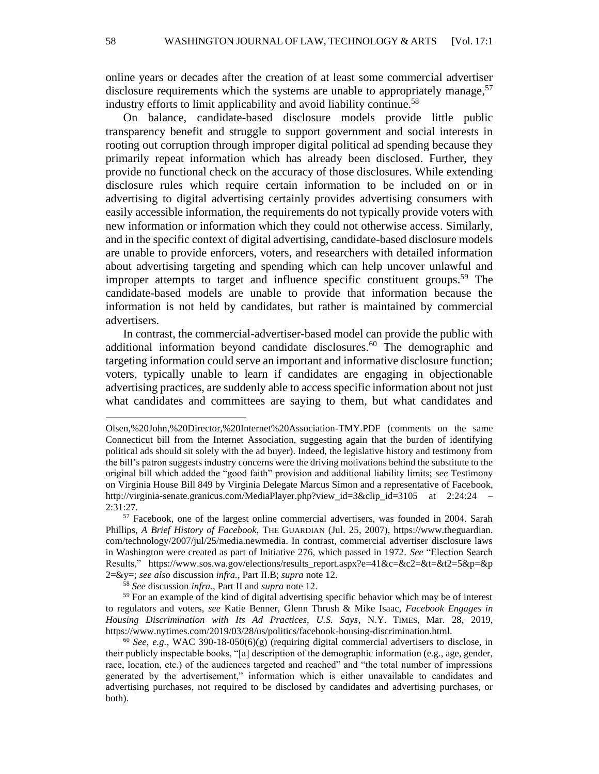online years or decades after the creation of at least some commercial advertiser disclosure requirements which the systems are unable to appropriately manage,<sup>57</sup> industry efforts to limit applicability and avoid liability continue.<sup>58</sup>

On balance, candidate-based disclosure models provide little public transparency benefit and struggle to support government and social interests in rooting out corruption through improper digital political ad spending because they primarily repeat information which has already been disclosed. Further, they provide no functional check on the accuracy of those disclosures. While extending disclosure rules which require certain information to be included on or in advertising to digital advertising certainly provides advertising consumers with easily accessible information, the requirements do not typically provide voters with new information or information which they could not otherwise access. Similarly, and in the specific context of digital advertising, candidate-based disclosure models are unable to provide enforcers, voters, and researchers with detailed information about advertising targeting and spending which can help uncover unlawful and improper attempts to target and influence specific constituent groups.<sup>59</sup> The candidate-based models are unable to provide that information because the information is not held by candidates, but rather is maintained by commercial advertisers.

In contrast, the commercial-advertiser-based model can provide the public with additional information beyond candidate disclosures.<sup>60</sup> The demographic and targeting information could serve an important and informative disclosure function; voters, typically unable to learn if candidates are engaging in objectionable advertising practices, are suddenly able to access specific information about not just what candidates and committees are saying to them, but what candidates and

Olsen,%20John,%20Director,%20Internet%20Association-TMY.PDF (comments on the same Connecticut bill from the Internet Association, suggesting again that the burden of identifying political ads should sit solely with the ad buyer). Indeed, the legislative history and testimony from the bill's patron suggests industry concerns were the driving motivations behind the substitute to the original bill which added the "good faith" provision and additional liability limits; *see* Testimony on Virginia House Bill 849 by Virginia Delegate Marcus Simon and a representative of Facebook, http://virginia-senate.granicus.com/MediaPlayer.php?view id=3&clip\_id=3105 at 2:24:24 2:31:27.

<sup>57</sup> Facebook, one of the largest online commercial advertisers, was founded in 2004. Sarah Phillips, *A Brief History of Facebook*, THE GUARDIAN (Jul. 25, 2007), https://www.theguardian. com/technology/2007/jul/25/media.newmedia. In contrast, commercial advertiser disclosure laws in Washington were created as part of Initiative 276, which passed in 1972. *See* "Election Search Results," https://www.sos.wa.gov/elections/results\_report.aspx?e=41&c=&c2=&t=&t2=5&p=&p 2=&y=; *see also* discussion *infra.*, Part II.B; *supra* note 12.

<sup>58</sup> *See* discussion *infra.*, Part II and *supra* note 12.

<sup>&</sup>lt;sup>59</sup> For an example of the kind of digital advertising specific behavior which may be of interest to regulators and voters, *see* Katie Benner, Glenn Thrush & Mike Isaac, *Facebook Engages in Housing Discrimination with Its Ad Practices, U.S. Says*, N.Y. TIMES, Mar. 28, 2019, https://www.nytimes.com/2019/03/28/us/politics/facebook-housing-discrimination.html.

<sup>60</sup> *See*, *e.g.*, WAC 390-18-050(6)(g) (requiring digital commercial advertisers to disclose, in their publicly inspectable books, "[a] description of the demographic information (e.g., age, gender, race, location, etc.) of the audiences targeted and reached" and "the total number of impressions generated by the advertisement," information which is either unavailable to candidates and advertising purchases, not required to be disclosed by candidates and advertising purchases, or both).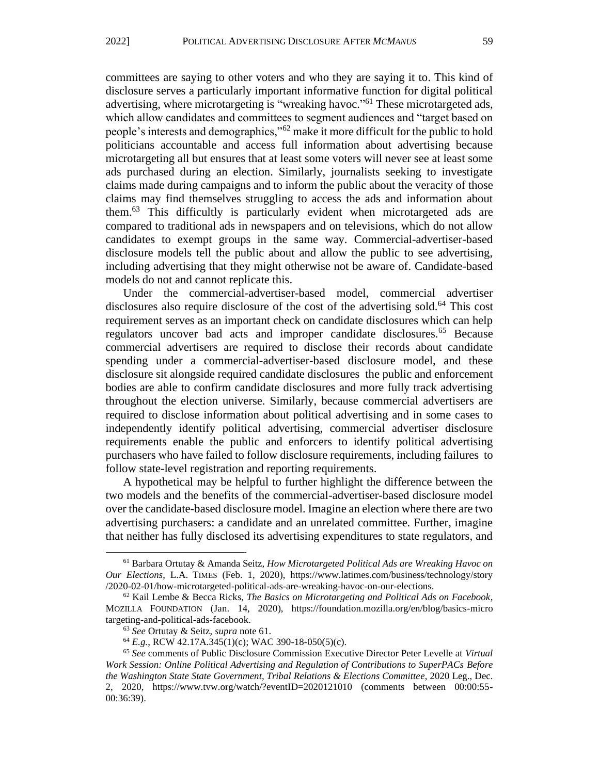committees are saying to other voters and who they are saying it to. This kind of disclosure serves a particularly important informative function for digital political advertising, where microtargeting is "wreaking havoc."<sup>61</sup> These microtargeted ads, which allow candidates and committees to segment audiences and "target based on people's interests and demographics,"<sup>62</sup> make it more difficult for the public to hold politicians accountable and access full information about advertising because microtargeting all but ensures that at least some voters will never see at least some ads purchased during an election. Similarly, journalists seeking to investigate claims made during campaigns and to inform the public about the veracity of those claims may find themselves struggling to access the ads and information about them.<sup>63</sup> This difficultly is particularly evident when microtargeted ads are compared to traditional ads in newspapers and on televisions, which do not allow candidates to exempt groups in the same way. Commercial-advertiser-based disclosure models tell the public about and allow the public to see advertising, including advertising that they might otherwise not be aware of. Candidate-based models do not and cannot replicate this.

Under the commercial-advertiser-based model, commercial advertiser disclosures also require disclosure of the cost of the advertising sold.<sup>64</sup> This cost requirement serves as an important check on candidate disclosures which can help regulators uncover bad acts and improper candidate disclosures.<sup>65</sup> Because commercial advertisers are required to disclose their records about candidate spending under a commercial-advertiser-based disclosure model, and these disclosure sit alongside required candidate disclosures the public and enforcement bodies are able to confirm candidate disclosures and more fully track advertising throughout the election universe. Similarly, because commercial advertisers are required to disclose information about political advertising and in some cases to independently identify political advertising, commercial advertiser disclosure requirements enable the public and enforcers to identify political advertising purchasers who have failed to follow disclosure requirements, including failures to follow state-level registration and reporting requirements.

A hypothetical may be helpful to further highlight the difference between the two models and the benefits of the commercial-advertiser-based disclosure model over the candidate-based disclosure model. Imagine an election where there are two advertising purchasers: a candidate and an unrelated committee. Further, imagine that neither has fully disclosed its advertising expenditures to state regulators, and

<sup>61</sup> Barbara Ortutay & Amanda Seitz, *How Microtargeted Political Ads are Wreaking Havoc on Our Elections*, L.A. TIMES (Feb. 1, 2020), https://www.latimes.com/business/technology/story /2020-02-01/how-microtargeted-political-ads-are-wreaking-havoc-on-our-elections.

<sup>62</sup> Kail Lembe & Becca Ricks, *The Basics on Microtargeting and Political Ads on Facebook*, MOZILLA FOUNDATION (Jan. 14, 2020), https://foundation.mozilla.org/en/blog/basics-micro targeting-and-political-ads-facebook.

<sup>63</sup> *See* Ortutay & Seitz, *supra* note 61.

<sup>64</sup> *E.g.*, RCW 42.17A.345(1)(c); WAC 390-18-050(5)(c).

<sup>65</sup> *See* comments of Public Disclosure Commission Executive Director Peter Levelle at *Virtual Work Session: Online Political Advertising and Regulation of Contributions to SuperPACs Before the Washington State State Government, Tribal Relations & Elections Committee*, 2020 Leg., Dec. 2, 2020, https://www.tvw.org/watch/?eventID=2020121010 (comments between 00:00:55- 00:36:39).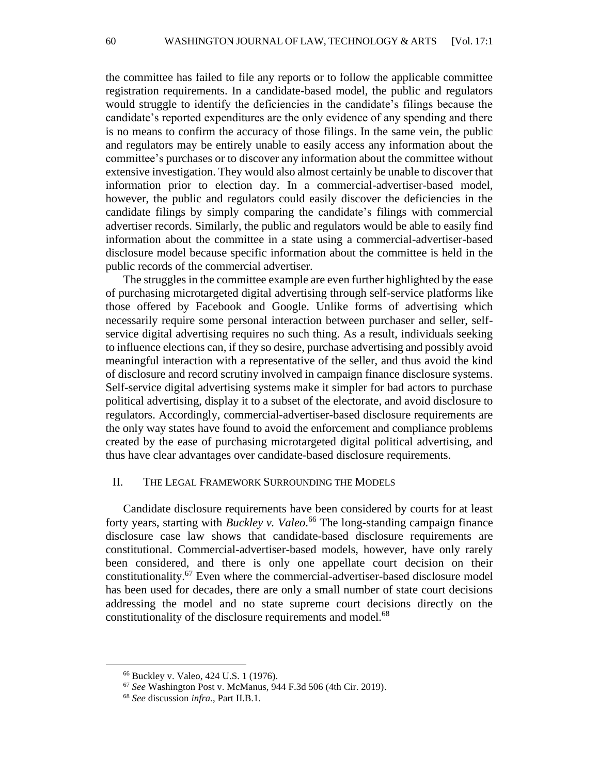the committee has failed to file any reports or to follow the applicable committee registration requirements. In a candidate-based model, the public and regulators would struggle to identify the deficiencies in the candidate's filings because the candidate's reported expenditures are the only evidence of any spending and there is no means to confirm the accuracy of those filings. In the same vein, the public and regulators may be entirely unable to easily access any information about the committee's purchases or to discover any information about the committee without extensive investigation. They would also almost certainly be unable to discover that information prior to election day. In a commercial-advertiser-based model, however, the public and regulators could easily discover the deficiencies in the candidate filings by simply comparing the candidate's filings with commercial advertiser records. Similarly, the public and regulators would be able to easily find information about the committee in a state using a commercial-advertiser-based disclosure model because specific information about the committee is held in the public records of the commercial advertiser.

The struggles in the committee example are even further highlighted by the ease of purchasing microtargeted digital advertising through self-service platforms like those offered by Facebook and Google. Unlike forms of advertising which necessarily require some personal interaction between purchaser and seller, selfservice digital advertising requires no such thing. As a result, individuals seeking to influence elections can, if they so desire, purchase advertising and possibly avoid meaningful interaction with a representative of the seller, and thus avoid the kind of disclosure and record scrutiny involved in campaign finance disclosure systems. Self-service digital advertising systems make it simpler for bad actors to purchase political advertising, display it to a subset of the electorate, and avoid disclosure to regulators. Accordingly, commercial-advertiser-based disclosure requirements are the only way states have found to avoid the enforcement and compliance problems created by the ease of purchasing microtargeted digital political advertising, and thus have clear advantages over candidate-based disclosure requirements.

#### II. THE LEGAL FRAMEWORK SURROUNDING THE MODELS

Candidate disclosure requirements have been considered by courts for at least forty years, starting with *Buckley v. Valeo*. <sup>66</sup> The long-standing campaign finance disclosure case law shows that candidate-based disclosure requirements are constitutional. Commercial-advertiser-based models, however, have only rarely been considered, and there is only one appellate court decision on their constitutionality.<sup>67</sup> Even where the commercial-advertiser-based disclosure model has been used for decades, there are only a small number of state court decisions addressing the model and no state supreme court decisions directly on the constitutionality of the disclosure requirements and model.<sup>68</sup>

<sup>66</sup> Buckley v. Valeo*,* 424 U.S. 1 (1976).

<sup>67</sup> *See* Washington Post v. McManus, 944 F.3d 506 (4th Cir. 2019).

<sup>68</sup> *See* discussion *infra.*, Part II.B.1.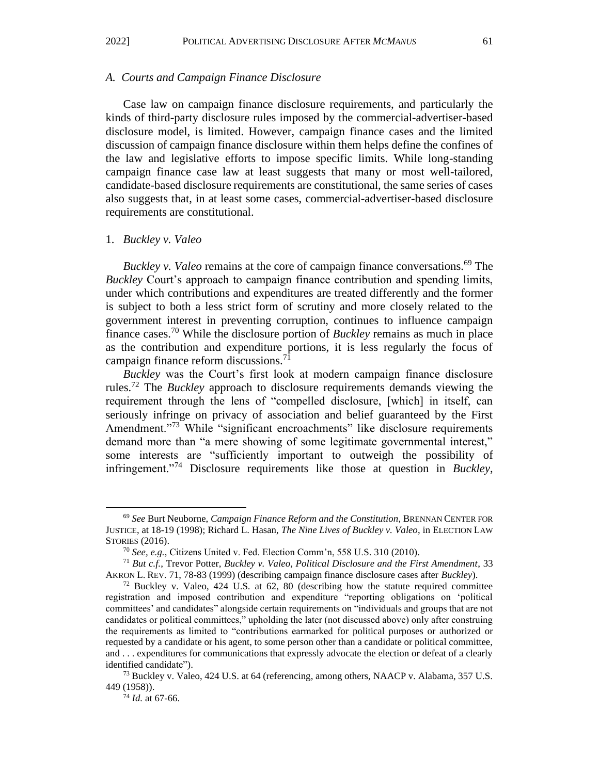#### *A. Courts and Campaign Finance Disclosure*

Case law on campaign finance disclosure requirements, and particularly the kinds of third-party disclosure rules imposed by the commercial-advertiser-based disclosure model, is limited. However, campaign finance cases and the limited discussion of campaign finance disclosure within them helps define the confines of the law and legislative efforts to impose specific limits. While long-standing campaign finance case law at least suggests that many or most well-tailored, candidate-based disclosure requirements are constitutional, the same series of cases also suggests that, in at least some cases, commercial-advertiser-based disclosure requirements are constitutional.

#### 1. *Buckley v. Valeo*

*Buckley v. Valeo* remains at the core of campaign finance conversations.<sup>69</sup> The *Buckley* Court's approach to campaign finance contribution and spending limits, under which contributions and expenditures are treated differently and the former is subject to both a less strict form of scrutiny and more closely related to the government interest in preventing corruption, continues to influence campaign finance cases.<sup>70</sup> While the disclosure portion of *Buckley* remains as much in place as the contribution and expenditure portions, it is less regularly the focus of campaign finance reform discussions.<sup>71</sup>

*Buckley* was the Court's first look at modern campaign finance disclosure rules.<sup>72</sup> The *Buckley* approach to disclosure requirements demands viewing the requirement through the lens of "compelled disclosure, [which] in itself, can seriously infringe on privacy of association and belief guaranteed by the First Amendment."<sup>73</sup> While "significant encroachments" like disclosure requirements demand more than "a mere showing of some legitimate governmental interest," some interests are "sufficiently important to outweigh the possibility of infringement."<sup>74</sup> Disclosure requirements like those at question in *Buckley*,

<sup>74</sup> *Id.* at 67-66.

<sup>69</sup> *See* Burt Neuborne, *Campaign Finance Reform and the Constitution*, BRENNAN CENTER FOR JUSTICE, at 18-19 (1998); Richard L. Hasan, *The Nine Lives of Buckley v. Valeo*, in ELECTION LAW STORIES (2016).

<sup>70</sup> *See, e.g.*, Citizens United v. Fed. Election Comm'n, 558 U.S. 310 (2010).

<sup>71</sup> *But c.f.*, Trevor Potter, *Buckley v. Valeo, Political Disclosure and the First Amendment*, 33 AKRON L. REV. 71, 78-83 (1999) (describing campaign finance disclosure cases after *Buckley*).

 $72$  Buckley v. Valeo, 424 U.S. at 62, 80 (describing how the statute required committee registration and imposed contribution and expenditure "reporting obligations on 'political committees' and candidates" alongside certain requirements on "individuals and groups that are not candidates or political committees," upholding the later (not discussed above) only after construing the requirements as limited to "contributions earmarked for political purposes or authorized or requested by a candidate or his agent, to some person other than a candidate or political committee, and . . . expenditures for communications that expressly advocate the election or defeat of a clearly identified candidate").

<sup>73</sup> Buckley v. Valeo, 424 U.S. at 64 (referencing, among others, NAACP v. Alabama, 357 U.S. 449 (1958)).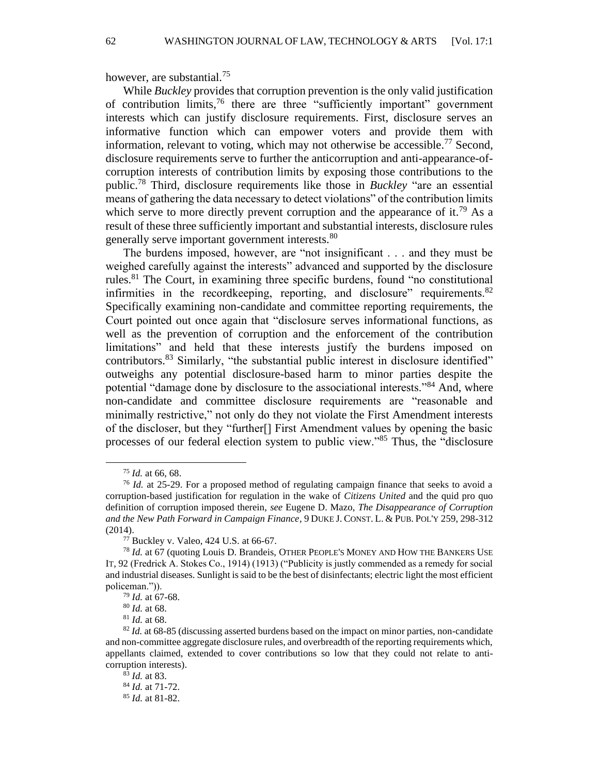however, are substantial.<sup>75</sup>

While *Buckley* provides that corruption prevention is the only valid justification of contribution limits,  $76$  there are three "sufficiently important" government interests which can justify disclosure requirements. First, disclosure serves an informative function which can empower voters and provide them with information, relevant to voting, which may not otherwise be accessible.<sup>77</sup> Second, disclosure requirements serve to further the anticorruption and anti-appearance-ofcorruption interests of contribution limits by exposing those contributions to the public.<sup>78</sup> Third, disclosure requirements like those in *Buckley* "are an essential means of gathering the data necessary to detect violations" of the contribution limits which serve to more directly prevent corruption and the appearance of it.<sup>79</sup> As a result of these three sufficiently important and substantial interests, disclosure rules generally serve important government interests.<sup>80</sup>

The burdens imposed, however, are "not insignificant . . . and they must be weighed carefully against the interests" advanced and supported by the disclosure rules.<sup>81</sup> The Court, in examining three specific burdens, found "no constitutional infirmities in the recordkeeping, reporting, and disclosure" requirements.<sup>82</sup> Specifically examining non-candidate and committee reporting requirements, the Court pointed out once again that "disclosure serves informational functions, as well as the prevention of corruption and the enforcement of the contribution limitations" and held that these interests justify the burdens imposed on contributors.<sup>83</sup> Similarly, "the substantial public interest in disclosure identified" outweighs any potential disclosure-based harm to minor parties despite the potential "damage done by disclosure to the associational interests."<sup>84</sup> And, where non-candidate and committee disclosure requirements are "reasonable and minimally restrictive," not only do they not violate the First Amendment interests of the discloser, but they "further[] First Amendment values by opening the basic processes of our federal election system to public view."<sup>85</sup> Thus, the "disclosure

<sup>75</sup> *Id.* at 66, 68.

<sup>&</sup>lt;sup>76</sup> *Id.* at 25-29. For a proposed method of regulating campaign finance that seeks to avoid a corruption-based justification for regulation in the wake of *Citizens United* and the quid pro quo definition of corruption imposed therein, *see* Eugene D. Mazo, *The Disappearance of Corruption and the New Path Forward in Campaign Finance*, 9 DUKE J. CONST. L. & PUB. POL'Y 259, 298-312 (2014).

<sup>77</sup> Buckley v. Valeo, 424 U.S. at 66-67.

<sup>78</sup> *Id.* at 67 (quoting Louis D. Brandeis, OTHER PEOPLE'S MONEY AND HOW THE BANKERS USE IT, 92 (Fredrick A. Stokes Co., 1914) (1913) ("Publicity is justly commended as a remedy for social and industrial diseases. Sunlight is said to be the best of disinfectants; electric light the most efficient policeman.")).

<sup>79</sup> *Id.* at 67-68.

<sup>80</sup> *Id.* at 68.

<sup>81</sup> *Id.* at 68.

<sup>&</sup>lt;sup>82</sup> *Id.* at 68-85 (discussing asserted burdens based on the impact on minor parties, non-candidate and non-committee aggregate disclosure rules, and overbreadth of the reporting requirements which, appellants claimed, extended to cover contributions so low that they could not relate to anticorruption interests).

<sup>83</sup> *Id.* at 83. <sup>84</sup> *Id.* at 71-72. <sup>85</sup> *Id.* at 81-82.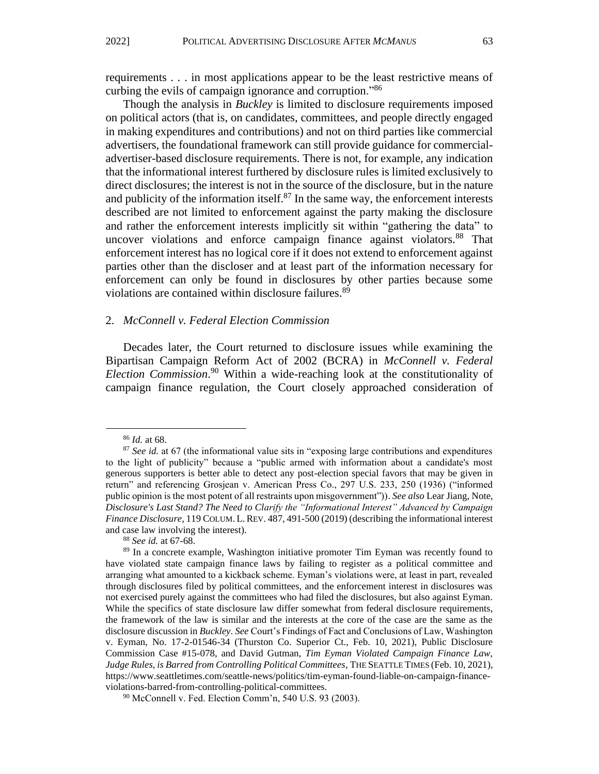requirements . . . in most applications appear to be the least restrictive means of curbing the evils of campaign ignorance and corruption.<sup>86</sup>

Though the analysis in *Buckley* is limited to disclosure requirements imposed on political actors (that is, on candidates, committees, and people directly engaged in making expenditures and contributions) and not on third parties like commercial advertisers, the foundational framework can still provide guidance for commercialadvertiser-based disclosure requirements. There is not, for example, any indication that the informational interest furthered by disclosure rules is limited exclusively to direct disclosures; the interest is not in the source of the disclosure, but in the nature and publicity of the information itself. $87$  In the same way, the enforcement interests described are not limited to enforcement against the party making the disclosure and rather the enforcement interests implicitly sit within "gathering the data" to uncover violations and enforce campaign finance against violators.<sup>88</sup> That enforcement interest has no logical core if it does not extend to enforcement against parties other than the discloser and at least part of the information necessary for enforcement can only be found in disclosures by other parties because some violations are contained within disclosure failures.<sup>89</sup>

#### 2. *McConnell v. Federal Election Commission*

Decades later, the Court returned to disclosure issues while examining the Bipartisan Campaign Reform Act of 2002 (BCRA) in *McConnell v. Federal Election Commission*. <sup>90</sup> Within a wide-reaching look at the constitutionality of campaign finance regulation, the Court closely approached consideration of

<sup>86</sup> *Id.* at 68.

<sup>&</sup>lt;sup>87</sup> See id. at 67 (the informational value sits in "exposing large contributions and expenditures to the light of publicity" because a "public armed with information about a candidate's most generous supporters is better able to detect any post-election special favors that may be given in return" and referencing Grosjean v. American Press Co., 297 U.S. 233, 250 (1936) ("informed public opinion is the most potent of all restraints upon misgovernment")). *See also* Lear Jiang, Note, *Disclosure's Last Stand? The Need to Clarify the "Informational Interest" Advanced by Campaign Finance Disclosure*, 119 COLUM. L.REV. 487, 491-500 (2019) (describing the informational interest and case law involving the interest).

<sup>88</sup> *See id.* at 67-68.

<sup>&</sup>lt;sup>89</sup> In a concrete example, Washington initiative promoter Tim Eyman was recently found to have violated state campaign finance laws by failing to register as a political committee and arranging what amounted to a kickback scheme. Eyman's violations were, at least in part, revealed through disclosures filed by political committees, and the enforcement interest in disclosures was not exercised purely against the committees who had filed the disclosures, but also against Eyman. While the specifics of state disclosure law differ somewhat from federal disclosure requirements, the framework of the law is similar and the interests at the core of the case are the same as the disclosure discussion in *Buckley*. *See* Court's Findings of Fact and Conclusions of Law, Washington v. Eyman, No. 17-2-01546-34 (Thurston Co. Superior Ct., Feb. 10, 2021), Public Disclosure Commission Case #15-078, and David Gutman, *Tim Eyman Violated Campaign Finance Law, Judge Rules, is Barred from Controlling Political Committees*, THE SEATTLE TIMES (Feb. 10, 2021), https://www.seattletimes.com/seattle-news/politics/tim-eyman-found-liable-on-campaign-financeviolations-barred-from-controlling-political-committees.

<sup>90</sup> McConnell v. Fed. Election Comm'n, 540 U.S. 93 (2003).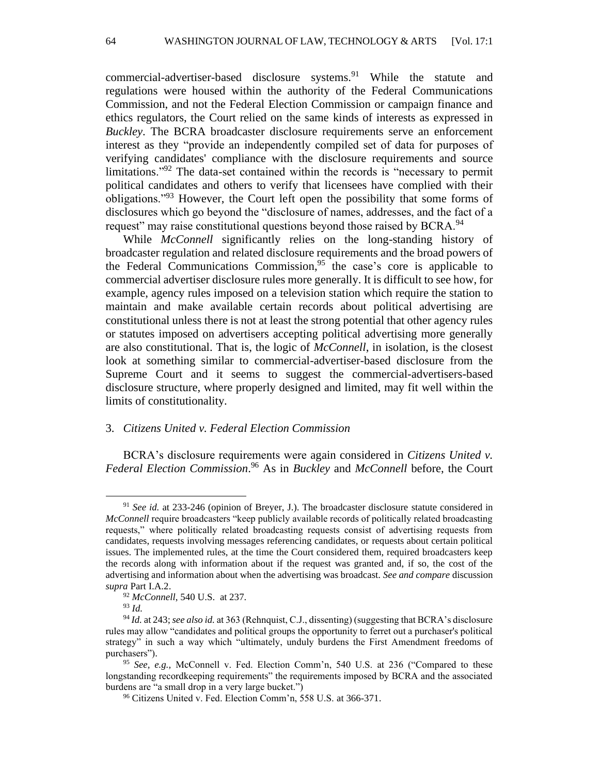commercial-advertiser-based disclosure systems.<sup>91</sup> While the statute and regulations were housed within the authority of the Federal Communications Commission, and not the Federal Election Commission or campaign finance and ethics regulators, the Court relied on the same kinds of interests as expressed in *Buckley*. The BCRA broadcaster disclosure requirements serve an enforcement interest as they "provide an independently compiled set of data for purposes of verifying candidates' compliance with the disclosure requirements and source limitations.<sup>"92</sup> The data-set contained within the records is "necessary to permit political candidates and others to verify that licensees have complied with their obligations."<sup>93</sup> However, the Court left open the possibility that some forms of disclosures which go beyond the "disclosure of names, addresses, and the fact of a request" may raise constitutional questions beyond those raised by BCRA.<sup>94</sup>

While *McConnell* significantly relies on the long-standing history of broadcaster regulation and related disclosure requirements and the broad powers of the Federal Communications Commission, <sup>95</sup> the case's core is applicable to commercial advertiser disclosure rules more generally. It is difficult to see how, for example, agency rules imposed on a television station which require the station to maintain and make available certain records about political advertising are constitutional unless there is not at least the strong potential that other agency rules or statutes imposed on advertisers accepting political advertising more generally are also constitutional. That is, the logic of *McConnell*, in isolation, is the closest look at something similar to commercial-advertiser-based disclosure from the Supreme Court and it seems to suggest the commercial-advertisers-based disclosure structure, where properly designed and limited, may fit well within the limits of constitutionality.

#### 3. *Citizens United v. Federal Election Commission*

BCRA's disclosure requirements were again considered in *Citizens United v. Federal Election Commission*. <sup>96</sup> As in *Buckley* and *McConnell* before, the Court

<sup>91</sup> *See id.* at 233-246 (opinion of Breyer, J.). The broadcaster disclosure statute considered in *McConnell* require broadcasters "keep publicly available records of politically related broadcasting requests," where politically related broadcasting requests consist of advertising requests from candidates, requests involving messages referencing candidates, or requests about certain political issues. The implemented rules, at the time the Court considered them, required broadcasters keep the records along with information about if the request was granted and, if so, the cost of the advertising and information about when the advertising was broadcast. *See and compare* discussion *supra* Part I.A.2.

<sup>92</sup> *McConnell*, 540 U.S. at 237.

<sup>93</sup> *Id.*

<sup>94</sup> *Id.* at 243;*see also id.* at 363 (Rehnquist, C.J., dissenting) (suggesting that BCRA's disclosure rules may allow "candidates and political groups the opportunity to ferret out a purchaser's political strategy" in such a way which "ultimately, unduly burdens the First Amendment freedoms of purchasers").

<sup>95</sup> *See, e.g.,* McConnell v. Fed. Election Comm'n, 540 U.S. at 236 ("Compared to these longstanding recordkeeping requirements" the requirements imposed by BCRA and the associated burdens are "a small drop in a very large bucket.")

<sup>96</sup> Citizens United v. Fed. Election Comm'n, 558 U.S. at 366-371.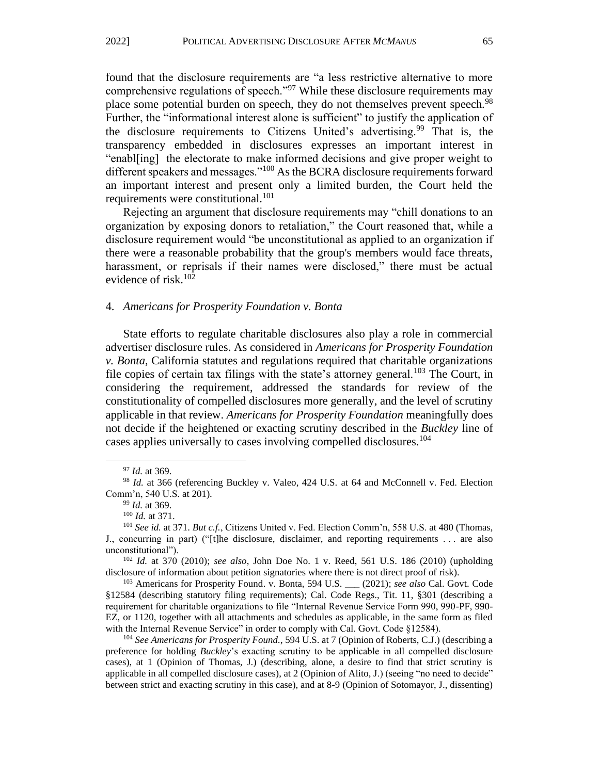found that the disclosure requirements are "a less restrictive alternative to more comprehensive regulations of speech."<sup>97</sup> While these disclosure requirements may place some potential burden on speech, they do not themselves prevent speech.<sup>98</sup> Further, the "informational interest alone is sufficient" to justify the application of the disclosure requirements to Citizens United's advertising.<sup>99</sup> That is, the transparency embedded in disclosures expresses an important interest in "enabl[ing] the electorate to make informed decisions and give proper weight to different speakers and messages."<sup>100</sup> As the BCRA disclosure requirements forward an important interest and present only a limited burden, the Court held the requirements were constitutional.<sup>101</sup>

Rejecting an argument that disclosure requirements may "chill donations to an organization by exposing donors to retaliation," the Court reasoned that, while a disclosure requirement would "be unconstitutional as applied to an organization if there were a reasonable probability that the group's members would face threats, harassment, or reprisals if their names were disclosed," there must be actual evidence of risk. $102$ 

#### 4. *Americans for Prosperity Foundation v. Bonta*

State efforts to regulate charitable disclosures also play a role in commercial advertiser disclosure rules. As considered in *Americans for Prosperity Foundation v. Bonta*, California statutes and regulations required that charitable organizations file copies of certain tax filings with the state's attorney general.<sup>103</sup> The Court, in considering the requirement, addressed the standards for review of the constitutionality of compelled disclosures more generally, and the level of scrutiny applicable in that review. *Americans for Prosperity Foundation* meaningfully does not decide if the heightened or exacting scrutiny described in the *Buckley* line of cases applies universally to cases involving compelled disclosures.<sup>104</sup>

<sup>97</sup> *Id.* at 369.

<sup>&</sup>lt;sup>98</sup> *Id.* at 366 (referencing Buckley v. Valeo, 424 U.S. at 64 and McConnell v. Fed. Election Comm'n, 540 U.S. at 201).

<sup>99</sup> *Id.* at 369.

<sup>100</sup> *Id.* at 371.

<sup>101</sup> *See id.* at 371. *But c.f.*, Citizens United v. Fed. Election Comm'n, 558 U.S. at 480 (Thomas, J., concurring in part) ("[t]he disclosure, disclaimer, and reporting requirements . . . are also unconstitutional").

<sup>102</sup> *Id.* at 370 (2010); *see also*, John Doe No. 1 v. Reed, 561 U.S. 186 (2010) (upholding disclosure of information about petition signatories where there is not direct proof of risk).

<sup>103</sup> Americans for Prosperity Found. v. Bonta, 594 U.S. \_\_\_ (2021); *see also* Cal. Govt. Code §12584 (describing statutory filing requirements); Cal. Code Regs., Tit. 11, §301 (describing a requirement for charitable organizations to file "Internal Revenue Service Form 990, 990-PF, 990- EZ, or 1120, together with all attachments and schedules as applicable, in the same form as filed with the Internal Revenue Service" in order to comply with Cal. Govt. Code §12584).

<sup>104</sup> *See Americans for Prosperity Found.*, 594 U.S. at 7 (Opinion of Roberts, C.J.) (describing a preference for holding *Buckley*'s exacting scrutiny to be applicable in all compelled disclosure cases), at 1 (Opinion of Thomas, J.) (describing, alone, a desire to find that strict scrutiny is applicable in all compelled disclosure cases), at 2 (Opinion of Alito, J.) (seeing "no need to decide" between strict and exacting scrutiny in this case), and at 8-9 (Opinion of Sotomayor, J., dissenting)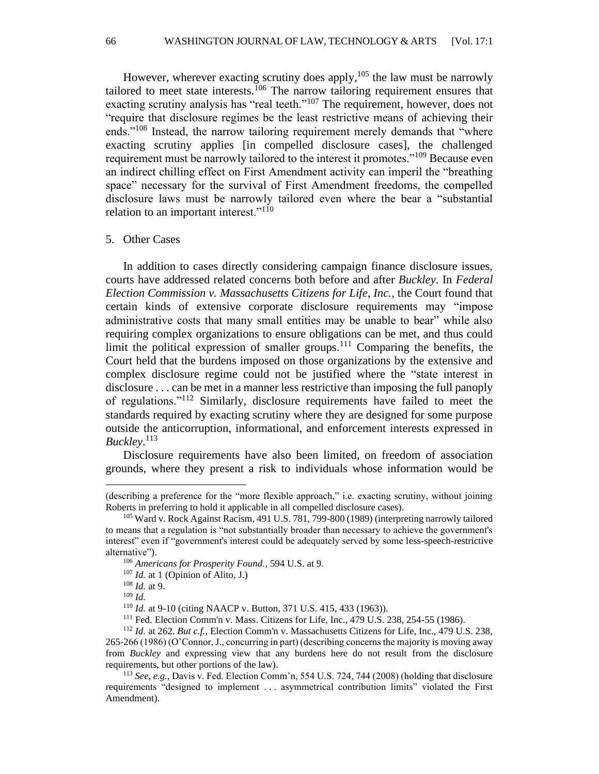However, wherever exacting scrutiny does apply, $105$  the law must be narrowly tailored to meet state interests.<sup>106</sup> The narrow tailoring requirement ensures that exacting scrutiny analysis has "real teeth."<sup>107</sup> The requirement, however, does not "require that disclosure regimes be the least restrictive means of achieving their ends."<sup>108</sup> Instead, the narrow tailoring requirement merely demands that "where exacting scrutiny applies [in compelled disclosure cases], the challenged requirement must be narrowly tailored to the interest it promotes."<sup>109</sup> Because even an indirect chilling effect on First Amendment activity can imperil the "breathing space" necessary for the survival of First Amendment freedoms, the compelled disclosure laws must be narrowly tailored even where the bear a "substantial relation to an important interest."<sup>110</sup>

#### 5. Other Cases

In addition to cases directly considering campaign finance disclosure issues, courts have addressed related concerns both before and after *Buckley*. In *Federal Election Commission v. Massachusetts Citizens for Life, Inc.*, the Court found that certain kinds of extensive corporate disclosure requirements may "impose administrative costs that many small entities may be unable to bear" while also requiring complex organizations to ensure obligations can be met, and thus could limit the political expression of smaller groups.<sup>111</sup> Comparing the benefits, the Court held that the burdens imposed on those organizations by the extensive and complex disclosure regime could not be justified where the "state interest in disclosure . . . can be met in a manner less restrictive than imposing the full panoply of regulations."<sup>112</sup> Similarly, disclosure requirements have failed to meet the standards required by exacting scrutiny where they are designed for some purpose outside the anticorruption, informational, and enforcement interests expressed in *Buckley*. 113

Disclosure requirements have also been limited, on freedom of association grounds, where they present a risk to individuals whose information would be

<sup>(</sup>describing a preference for the "more flexible approach," i.e. exacting scrutiny, without joining Roberts in preferring to hold it applicable in all compelled disclosure cases).

<sup>105</sup> Ward v. Rock Against Racism, 491 U.S. 781, 799-800 (1989) (interpreting narrowly tailored to means that a regulation is "not substantially broader than necessary to achieve the government's interest" even if "government's interest could be adequately served by some less-speech-restrictive alternative").

<sup>106</sup> *Americans for Prosperity Found.*, 594 U.S. at 9.

<sup>107</sup> *Id.* at 1 (Opinion of Alito, J.)

<sup>108</sup> *Id.* at 9.

<sup>109</sup> *Id.*

<sup>110</sup> *Id.* at 9-10 (citing NAACP v. Button, 371 U.S. 415, 433 (1963)).

<sup>111</sup> Fed. Election Comm'n v. Mass. Citizens for Life, Inc., 479 U.S. 238, 254-55 (1986).

<sup>112</sup> *Id.* at 262. *But c.f.*, Election Comm'n v. Massachusetts Citizens for Life, Inc., 479 U.S. 238, 265-266 (1986) (O'Connor, J., concurring in part) (describing concerns the majority is moving away from *Buckley* and expressing view that any burdens here do not result from the disclosure requirements, but other portions of the law).

<sup>113</sup> *See, e.g.,* Davis v. Fed. Election Comm'n, 554 U.S. 724, 744 (2008) (holding that disclosure requirements "designed to implement . . . asymmetrical contribution limits" violated the First Amendment).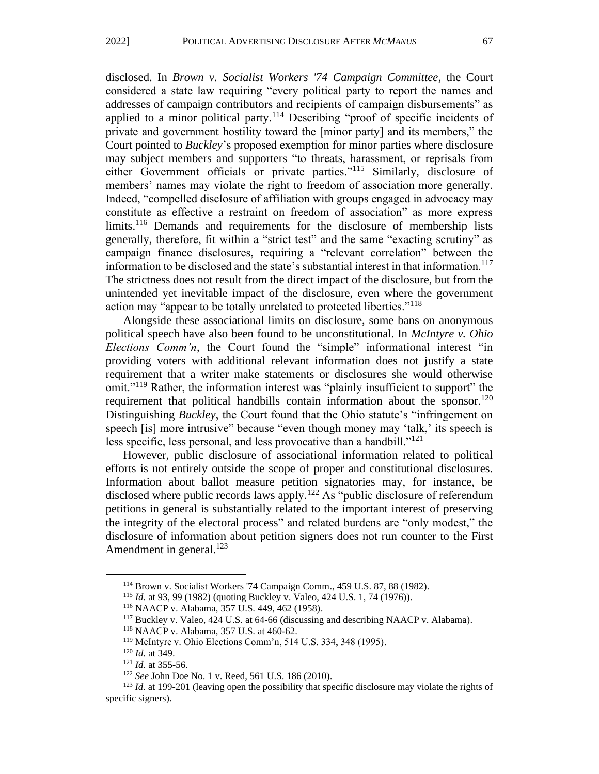disclosed. In *Brown v. Socialist Workers '74 Campaign Committee*, the Court considered a state law requiring "every political party to report the names and addresses of campaign contributors and recipients of campaign disbursements" as applied to a minor political party.<sup>114</sup> Describing "proof of specific incidents of private and government hostility toward the [minor party] and its members," the Court pointed to *Buckley*'s proposed exemption for minor parties where disclosure may subject members and supporters "to threats, harassment, or reprisals from either Government officials or private parties."<sup>115</sup> Similarly, disclosure of members' names may violate the right to freedom of association more generally. Indeed, "compelled disclosure of affiliation with groups engaged in advocacy may constitute as effective a restraint on freedom of association" as more express limits.<sup>116</sup> Demands and requirements for the disclosure of membership lists generally, therefore, fit within a "strict test" and the same "exacting scrutiny" as campaign finance disclosures, requiring a "relevant correlation" between the information to be disclosed and the state's substantial interest in that information.<sup>117</sup> The strictness does not result from the direct impact of the disclosure, but from the unintended yet inevitable impact of the disclosure, even where the government action may "appear to be totally unrelated to protected liberties."<sup>118</sup>

Alongside these associational limits on disclosure, some bans on anonymous political speech have also been found to be unconstitutional. In *McIntyre v. Ohio Elections Comm'n*, the Court found the "simple" informational interest "in providing voters with additional relevant information does not justify a state requirement that a writer make statements or disclosures she would otherwise omit."<sup>119</sup> Rather, the information interest was "plainly insufficient to support" the requirement that political handbills contain information about the sponsor.<sup>120</sup> Distinguishing *Buckley*, the Court found that the Ohio statute's "infringement on speech [is] more intrusive" because "even though money may 'talk,' its speech is less specific, less personal, and less provocative than a handbill."<sup>121</sup>

However, public disclosure of associational information related to political efforts is not entirely outside the scope of proper and constitutional disclosures. Information about ballot measure petition signatories may, for instance, be disclosed where public records laws apply.<sup>122</sup> As "public disclosure of referendum petitions in general is substantially related to the important interest of preserving the integrity of the electoral process" and related burdens are "only modest," the disclosure of information about petition signers does not run counter to the First Amendment in general. $123$ 

<sup>114</sup> Brown v. Socialist Workers '74 Campaign Comm., 459 U.S. 87, 88 (1982).

<sup>115</sup> *Id.* at 93, 99 (1982) (quoting Buckley v. Valeo, 424 U.S. 1, 74 (1976)).

<sup>116</sup> NAACP v. Alabama, 357 U.S. 449, 462 (1958).

<sup>117</sup> Buckley v. Valeo, 424 U.S. at 64-66 (discussing and describing NAACP v. Alabama).

<sup>118</sup> NAACP v. Alabama, 357 U.S. at 460-62.

<sup>119</sup> McIntyre v. Ohio Elections Comm'n, 514 U.S. 334, 348 (1995).

<sup>120</sup> *Id.* at 349.

<sup>121</sup> *Id.* at 355-56.

<sup>122</sup> *See* John Doe No. 1 v. Reed, 561 U.S. 186 (2010).

<sup>&</sup>lt;sup>123</sup> *Id.* at 199-201 (leaving open the possibility that specific disclosure may violate the rights of specific signers).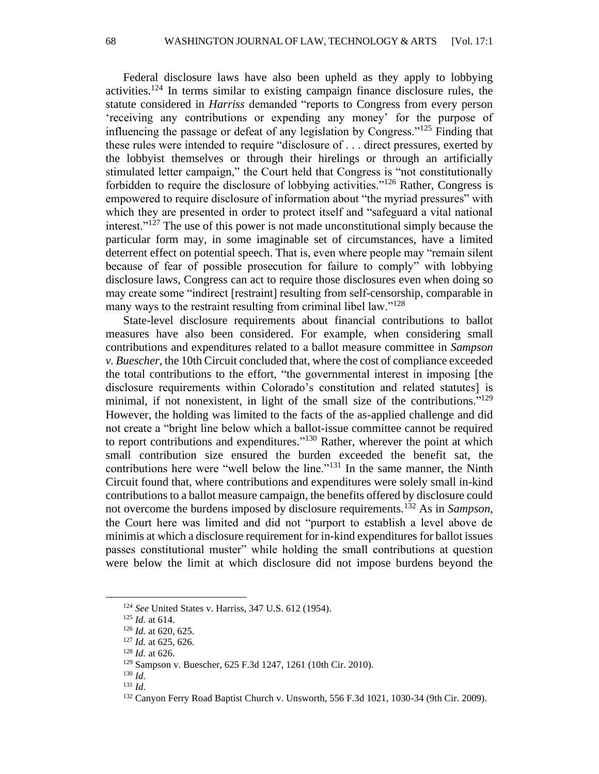Federal disclosure laws have also been upheld as they apply to lobbying activities.<sup>124</sup> In terms similar to existing campaign finance disclosure rules, the statute considered in *Harriss* demanded "reports to Congress from every person 'receiving any contributions or expending any money' for the purpose of influencing the passage or defeat of any legislation by Congress."<sup>125</sup> Finding that these rules were intended to require "disclosure of . . . direct pressures, exerted by the lobbyist themselves or through their hirelings or through an artificially stimulated letter campaign," the Court held that Congress is "not constitutionally forbidden to require the disclosure of lobbying activities."<sup>126</sup> Rather, Congress is empowered to require disclosure of information about "the myriad pressures" with which they are presented in order to protect itself and "safeguard a vital national interest."<sup>127</sup> The use of this power is not made unconstitutional simply because the particular form may, in some imaginable set of circumstances, have a limited deterrent effect on potential speech. That is, even where people may "remain silent because of fear of possible prosecution for failure to comply" with lobbying disclosure laws, Congress can act to require those disclosures even when doing so may create some "indirect [restraint] resulting from self-censorship, comparable in many ways to the restraint resulting from criminal libel law."<sup>128</sup>

State-level disclosure requirements about financial contributions to ballot measures have also been considered. For example, when considering small contributions and expenditures related to a ballot measure committee in *Sampson v. Buescher*, the 10th Circuit concluded that, where the cost of compliance exceeded the total contributions to the effort, "the governmental interest in imposing [the disclosure requirements within Colorado's constitution and related statutes] is minimal, if not nonexistent, in light of the small size of the contributions."<sup>129</sup> However, the holding was limited to the facts of the as-applied challenge and did not create a "bright line below which a ballot-issue committee cannot be required to report contributions and expenditures."<sup>130</sup> Rather, wherever the point at which small contribution size ensured the burden exceeded the benefit sat, the contributions here were "well below the line."<sup>131</sup> In the same manner, the Ninth Circuit found that, where contributions and expenditures were solely small in-kind contributions to a ballot measure campaign, the benefits offered by disclosure could not overcome the burdens imposed by disclosure requirements.<sup>132</sup> As in *Sampson*, the Court here was limited and did not "purport to establish a level above de minimis at which a disclosure requirement for in-kind expenditures for ballot issues passes constitutional muster" while holding the small contributions at question were below the limit at which disclosure did not impose burdens beyond the

<sup>124</sup> *See* United States v. Harriss, 347 U.S. 612 (1954).

<sup>125</sup> *Id.* at 614.

<sup>126</sup> *Id.* at 620, 625.

<sup>127</sup> *Id.* at 625, 626.

<sup>128</sup> *Id.* at 626.

<sup>129</sup> Sampson v. Buescher, 625 F.3d 1247, 1261 (10th Cir. 2010).

<sup>130</sup> *Id.*

<sup>131</sup> *Id.*

<sup>132</sup> Canyon Ferry Road Baptist Church v. Unsworth, 556 F.3d 1021, 1030-34 (9th Cir. 2009).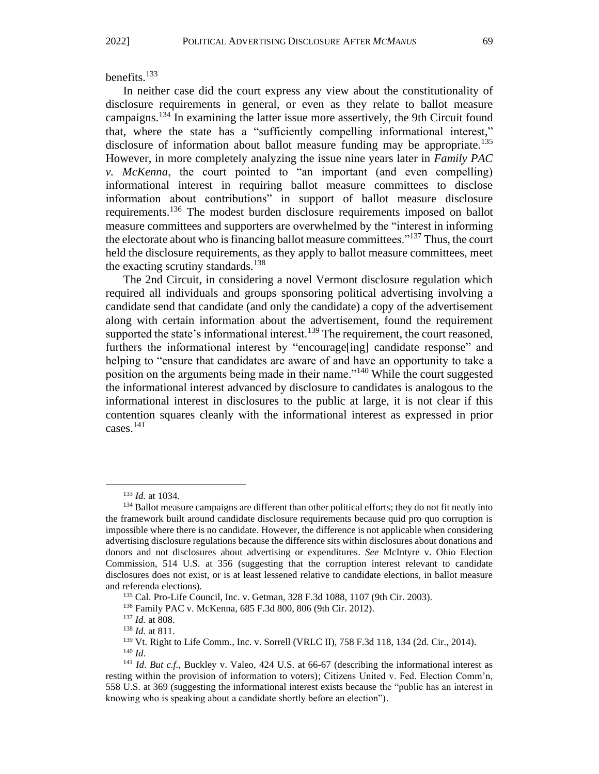#### benefits. $133$

In neither case did the court express any view about the constitutionality of disclosure requirements in general, or even as they relate to ballot measure campaigns.<sup>134</sup> In examining the latter issue more assertively, the 9th Circuit found that, where the state has a "sufficiently compelling informational interest," disclosure of information about ballot measure funding may be appropriate.<sup>135</sup> However, in more completely analyzing the issue nine years later in *Family PAC v. McKenna*, the court pointed to "an important (and even compelling) informational interest in requiring ballot measure committees to disclose information about contributions" in support of ballot measure disclosure requirements.<sup>136</sup> The modest burden disclosure requirements imposed on ballot measure committees and supporters are overwhelmed by the "interest in informing the electorate about who is financing ballot measure committees."<sup>137</sup> Thus, the court held the disclosure requirements, as they apply to ballot measure committees, meet the exacting scrutiny standards.<sup>138</sup>

The 2nd Circuit, in considering a novel Vermont disclosure regulation which required all individuals and groups sponsoring political advertising involving a candidate send that candidate (and only the candidate) a copy of the advertisement along with certain information about the advertisement, found the requirement supported the state's informational interest.<sup>139</sup> The requirement, the court reasoned, furthers the informational interest by "encourage[ing] candidate response" and helping to "ensure that candidates are aware of and have an opportunity to take a position on the arguments being made in their name."<sup>140</sup> While the court suggested the informational interest advanced by disclosure to candidates is analogous to the informational interest in disclosures to the public at large, it is not clear if this contention squares cleanly with the informational interest as expressed in prior cases.<sup>141</sup>

<sup>133</sup> *Id.* at 1034.

<sup>&</sup>lt;sup>134</sup> Ballot measure campaigns are different than other political efforts; they do not fit neatly into the framework built around candidate disclosure requirements because quid pro quo corruption is impossible where there is no candidate. However, the difference is not applicable when considering advertising disclosure regulations because the difference sits within disclosures about donations and donors and not disclosures about advertising or expenditures. *See* McIntyre v. Ohio Election Commission, 514 U.S. at 356 (suggesting that the corruption interest relevant to candidate disclosures does not exist, or is at least lessened relative to candidate elections, in ballot measure and referenda elections).

<sup>135</sup> Cal. Pro-Life Council, Inc. v. Getman, 328 F.3d 1088, 1107 (9th Cir. 2003).

<sup>136</sup> Family PAC v. McKenna, 685 F.3d 800, 806 (9th Cir. 2012).

<sup>137</sup> *Id.* at 808.

<sup>138</sup> *Id.* at 811.

<sup>139</sup> Vt. Right to Life Comm., Inc. v. Sorrell (VRLC II), 758 F.3d 118, 134 (2d. Cir., 2014).

<sup>140</sup> *Id*.

<sup>141</sup> *Id*. *But c.f.*, Buckley v. Valeo, 424 U.S. at 66-67 (describing the informational interest as resting within the provision of information to voters); Citizens United v. Fed. Election Comm'n, 558 U.S. at 369 (suggesting the informational interest exists because the "public has an interest in knowing who is speaking about a candidate shortly before an election").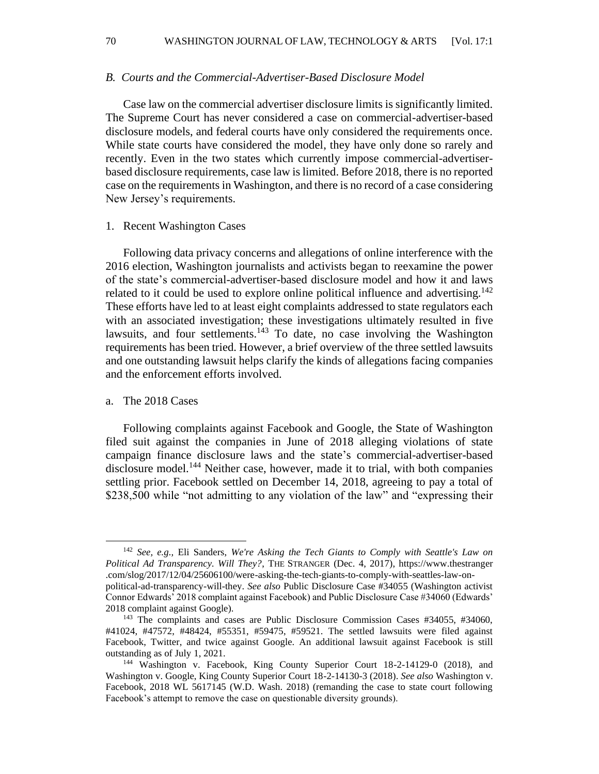70 WASHINGTON JOURNAL OF LAW, TECHNOLOGY & ARTS [Vol. 17:1

#### *B. Courts and the Commercial-Advertiser-Based Disclosure Model*

Case law on the commercial advertiser disclosure limits is significantly limited. The Supreme Court has never considered a case on commercial-advertiser-based disclosure models, and federal courts have only considered the requirements once. While state courts have considered the model, they have only done so rarely and recently. Even in the two states which currently impose commercial-advertiserbased disclosure requirements, case law is limited. Before 2018, there is no reported case on the requirements in Washington, and there is no record of a case considering New Jersey's requirements.

#### 1. Recent Washington Cases

Following data privacy concerns and allegations of online interference with the 2016 election, Washington journalists and activists began to reexamine the power of the state's commercial-advertiser-based disclosure model and how it and laws related to it could be used to explore online political influence and advertising.<sup>142</sup> These efforts have led to at least eight complaints addressed to state regulators each with an associated investigation; these investigations ultimately resulted in five lawsuits, and four settlements. $143$  To date, no case involving the Washington requirements has been tried. However, a brief overview of the three settled lawsuits and one outstanding lawsuit helps clarify the kinds of allegations facing companies and the enforcement efforts involved.

#### a. The 2018 Cases

Following complaints against Facebook and Google, the State of Washington filed suit against the companies in June of 2018 alleging violations of state campaign finance disclosure laws and the state's commercial-advertiser-based disclosure model.<sup>144</sup> Neither case, however, made it to trial, with both companies settling prior. Facebook settled on December 14, 2018, agreeing to pay a total of \$238,500 while "not admitting to any violation of the law" and "expressing their

<sup>142</sup> *See, e.g.,* Eli Sanders, *We're Asking the Tech Giants to Comply with Seattle's Law on Political Ad Transparency. Will They?*, THE STRANGER (Dec. 4, 2017), https://www.thestranger .com/slog/2017/12/04/25606100/were-asking-the-tech-giants-to-comply-with-seattles-law-onpolitical-ad-transparency-will-they. *See also* Public Disclosure Case #34055 (Washington activist Connor Edwards' 2018 complaint against Facebook) and Public Disclosure Case #34060 (Edwards' 2018 complaint against Google).

<sup>143</sup> The complaints and cases are Public Disclosure Commission Cases #34055, #34060, #41024, #47572, #48424, #55351, #59475, #59521. The settled lawsuits were filed against Facebook, Twitter, and twice against Google. An additional lawsuit against Facebook is still outstanding as of July 1, 2021.

<sup>144</sup> Washington v. Facebook, King County Superior Court 18-2-14129-0 (2018), and Washington v. Google, King County Superior Court 18-2-14130-3 (2018). *See also* Washington v. Facebook, 2018 WL 5617145 (W.D. Wash. 2018) (remanding the case to state court following Facebook's attempt to remove the case on questionable diversity grounds).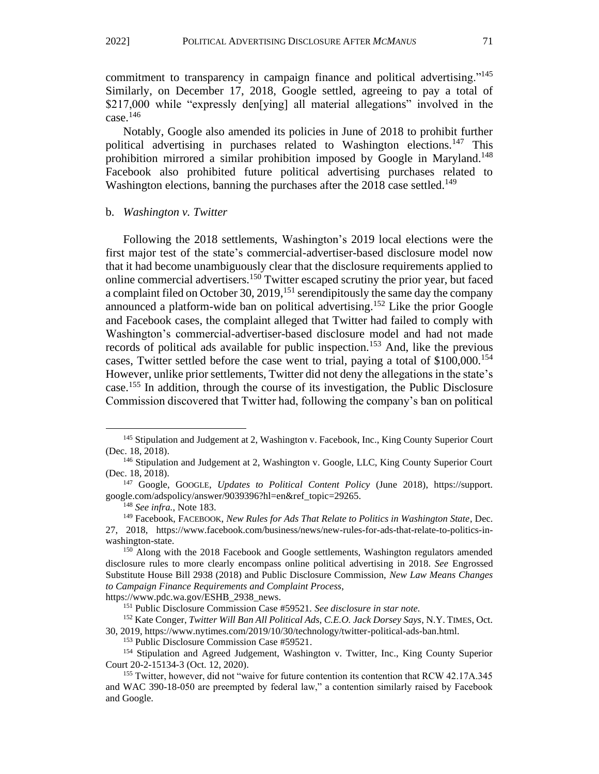commitment to transparency in campaign finance and political advertising."<sup>145</sup> Similarly, on December 17, 2018, Google settled, agreeing to pay a total of \$217,000 while "expressly den[ying] all material allegations" involved in the case. $146$ 

Notably, Google also amended its policies in June of 2018 to prohibit further political advertising in purchases related to Washington elections.<sup>147</sup> This prohibition mirrored a similar prohibition imposed by Google in Maryland.<sup>148</sup> Facebook also prohibited future political advertising purchases related to Washington elections, banning the purchases after the  $2018$  case settled.<sup>149</sup>

#### b. *Washington v. Twitter*

Following the 2018 settlements, Washington's 2019 local elections were the first major test of the state's commercial-advertiser-based disclosure model now that it had become unambiguously clear that the disclosure requirements applied to online commercial advertisers.<sup>150</sup> Twitter escaped scrutiny the prior year, but faced a complaint filed on October 30, 2019, <sup>151</sup> serendipitously the same day the company announced a platform-wide ban on political advertising.<sup>152</sup> Like the prior Google and Facebook cases, the complaint alleged that Twitter had failed to comply with Washington's commercial-advertiser-based disclosure model and had not made records of political ads available for public inspection.<sup>153</sup> And, like the previous cases, Twitter settled before the case went to trial, paying a total of  $$100,000$ <sup>154</sup> However, unlike prior settlements, Twitter did not deny the allegations in the state's case.<sup>155</sup> In addition, through the course of its investigation, the Public Disclosure Commission discovered that Twitter had, following the company's ban on political

https://www.pdc.wa.gov/ESHB\_2938\_news.

<sup>&</sup>lt;sup>145</sup> Stipulation and Judgement at 2, Washington v. Facebook, Inc., King County Superior Court (Dec. 18, 2018).

<sup>146</sup> Stipulation and Judgement at 2, Washington v. Google, LLC, King County Superior Court (Dec. 18, 2018).

<sup>147</sup> Google, GOOGLE, *Updates to Political Content Policy* (June 2018), https://support. google.com/adspolicy/answer/9039396?hl=en&ref\_topic=29265.

<sup>148</sup> *See infra.*, Note 183.

<sup>149</sup> Facebook, FACEBOOK, *New Rules for Ads That Relate to Politics in Washington State*, Dec. 27, 2018, https://www.facebook.com/business/news/new-rules-for-ads-that-relate-to-politics-inwashington-state.

<sup>&</sup>lt;sup>150</sup> Along with the 2018 Facebook and Google settlements, Washington regulators amended disclosure rules to more clearly encompass online political advertising in 2018. *See* Engrossed Substitute House Bill 2938 (2018) and Public Disclosure Commission, *New Law Means Changes to Campaign Finance Requirements and Complaint Process*,

<sup>151</sup> Public Disclosure Commission Case #59521. *See disclosure in star note.*

<sup>152</sup> Kate Conger, *Twitter Will Ban All Political Ads, C.E.O. Jack Dorsey Says*, N.Y. TIMES, Oct. 30, 2019, https://www.nytimes.com/2019/10/30/technology/twitter-political-ads-ban.html.

<sup>153</sup> Public Disclosure Commission Case #59521.

<sup>154</sup> Stipulation and Agreed Judgement, Washington v. Twitter, Inc., King County Superior Court 20-2-15134-3 (Oct. 12, 2020).

<sup>155</sup> Twitter, however, did not "waive for future contention its contention that RCW 42.17A.345 and WAC 390-18-050 are preempted by federal law," a contention similarly raised by Facebook and Google.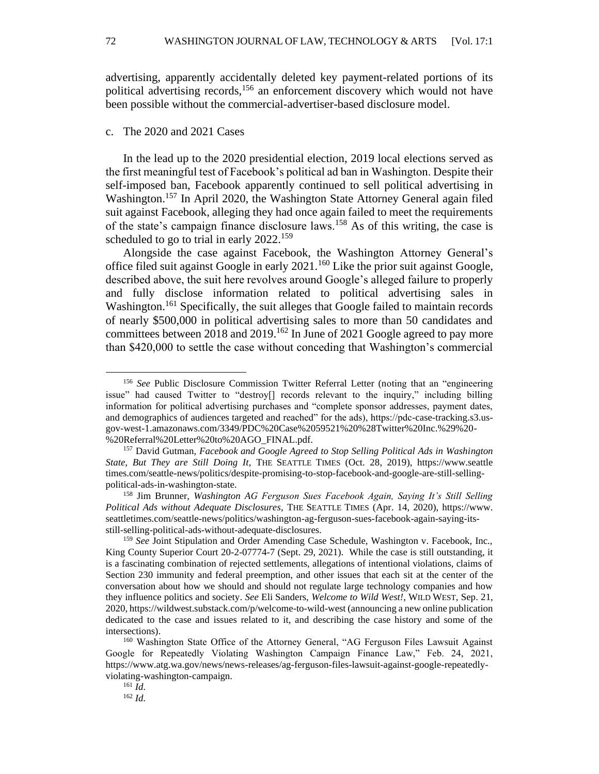advertising, apparently accidentally deleted key payment-related portions of its political advertising records,<sup>156</sup> an enforcement discovery which would not have been possible without the commercial-advertiser-based disclosure model.

#### c. The 2020 and 2021 Cases

In the lead up to the 2020 presidential election, 2019 local elections served as the first meaningful test of Facebook's political ad ban in Washington. Despite their self-imposed ban, Facebook apparently continued to sell political advertising in Washington.<sup>157</sup> In April 2020, the Washington State Attorney General again filed suit against Facebook, alleging they had once again failed to meet the requirements of the state's campaign finance disclosure laws.<sup>158</sup> As of this writing, the case is scheduled to go to trial in early 2022.<sup>159</sup>

Alongside the case against Facebook, the Washington Attorney General's office filed suit against Google in early 2021.<sup>160</sup> Like the prior suit against Google, described above, the suit here revolves around Google's alleged failure to properly and fully disclose information related to political advertising sales in Washington.<sup>161</sup> Specifically, the suit alleges that Google failed to maintain records of nearly \$500,000 in political advertising sales to more than 50 candidates and committees between 2018 and 2019.<sup>162</sup> In June of 2021 Google agreed to pay more than \$420,000 to settle the case without conceding that Washington's commercial

<sup>158</sup> Jim Brunner, *Washington AG Ferguson Sues Facebook Again, Saying It's Still Selling Political Ads without Adequate Disclosures*, THE SEATTLE TIMES (Apr. 14, 2020), https://www. seattletimes.com/seattle-news/politics/washington-ag-ferguson-sues-facebook-again-saying-itsstill-selling-political-ads-without-adequate-disclosures.

<sup>162</sup> *Id.*

<sup>156</sup> *See* Public Disclosure Commission Twitter Referral Letter (noting that an "engineering issue" had caused Twitter to "destroy[] records relevant to the inquiry," including billing information for political advertising purchases and "complete sponsor addresses, payment dates, and demographics of audiences targeted and reached" for the ads), https://pdc-case-tracking.s3.usgov-west-1.amazonaws.com/3349/PDC%20Case%2059521%20%28Twitter%20Inc.%29%20- %20Referral%20Letter%20to%20AGO\_FINAL.pdf.

<sup>157</sup> David Gutman, *Facebook and Google Agreed to Stop Selling Political Ads in Washington State, But They are Still Doing It*, THE SEATTLE TIMES (Oct. 28, 2019), https://www.seattle times.com/seattle-news/politics/despite-promising-to-stop-facebook-and-google-are-still-sellingpolitical-ads-in-washington-state.

<sup>159</sup> *See* Joint Stipulation and Order Amending Case Schedule, Washington v. Facebook, Inc., King County Superior Court 20-2-07774-7 (Sept. 29, 2021). While the case is still outstanding, it is a fascinating combination of rejected settlements, allegations of intentional violations, claims of Section 230 immunity and federal preemption, and other issues that each sit at the center of the conversation about how we should and should not regulate large technology companies and how they influence politics and society. *See* Eli Sanders, *Welcome to Wild West!*, WILD WEST, Sep. 21, 2020, https://wildwest.substack.com/p/welcome-to-wild-west (announcing a new online publication dedicated to the case and issues related to it, and describing the case history and some of the intersections).

<sup>160</sup> Washington State Office of the Attorney General, "AG Ferguson Files Lawsuit Against Google for Repeatedly Violating Washington Campaign Finance Law," Feb. 24, 2021, https://www.atg.wa.gov/news/news-releases/ag-ferguson-files-lawsuit-against-google-repeatedlyviolating-washington-campaign.

<sup>161</sup> *Id.*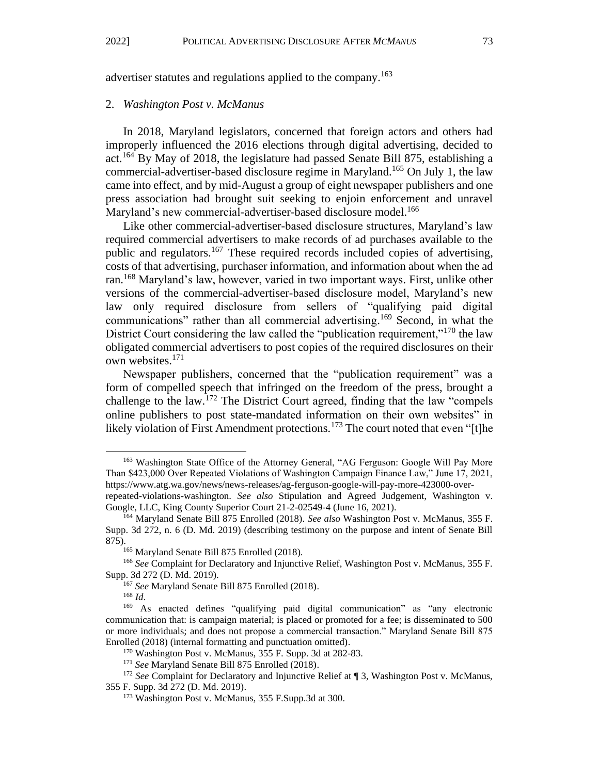advertiser statutes and regulations applied to the company.<sup>163</sup>

#### 2. *Washington Post v. McManus*

In 2018, Maryland legislators, concerned that foreign actors and others had improperly influenced the 2016 elections through digital advertising, decided to act.<sup>164</sup> By May of 2018, the legislature had passed Senate Bill 875, establishing a commercial-advertiser-based disclosure regime in Maryland.<sup>165</sup> On July 1, the law came into effect, and by mid-August a group of eight newspaper publishers and one press association had brought suit seeking to enjoin enforcement and unravel Maryland's new commercial-advertiser-based disclosure model.<sup>166</sup>

Like other commercial-advertiser-based disclosure structures, Maryland's law required commercial advertisers to make records of ad purchases available to the public and regulators.<sup>167</sup> These required records included copies of advertising, costs of that advertising, purchaser information, and information about when the ad ran.<sup>168</sup> Maryland's law, however, varied in two important ways. First, unlike other versions of the commercial-advertiser-based disclosure model, Maryland's new law only required disclosure from sellers of "qualifying paid digital communications" rather than all commercial advertising. <sup>169</sup> Second, in what the District Court considering the law called the "publication requirement,"<sup>170</sup> the law obligated commercial advertisers to post copies of the required disclosures on their own websites.<sup>171</sup>

Newspaper publishers, concerned that the "publication requirement" was a form of compelled speech that infringed on the freedom of the press, brought a challenge to the law.<sup>172</sup> The District Court agreed, finding that the law "compels" online publishers to post state-mandated information on their own websites" in likely violation of First Amendment protections.<sup>173</sup> The court noted that even "[t]he

<sup>&</sup>lt;sup>163</sup> Washington State Office of the Attorney General, "AG Ferguson: Google Will Pay More Than \$423,000 Over Repeated Violations of Washington Campaign Finance Law," June 17, 2021, https://www.atg.wa.gov/news/news-releases/ag-ferguson-google-will-pay-more-423000-over-

repeated-violations-washington. *See also* Stipulation and Agreed Judgement, Washington v. Google, LLC, King County Superior Court 21-2-02549-4 (June 16, 2021).

<sup>164</sup> Maryland Senate Bill 875 Enrolled (2018). *See also* Washington Post v. McManus, 355 F. Supp. 3d 272, n. 6 (D. Md. 2019) (describing testimony on the purpose and intent of Senate Bill 875).

<sup>&</sup>lt;sup>165</sup> Maryland Senate Bill 875 Enrolled (2018).

<sup>166</sup> *See* Complaint for Declaratory and Injunctive Relief, Washington Post v. McManus, 355 F. Supp. 3d 272 (D. Md. 2019).

<sup>167</sup> *See* Maryland Senate Bill 875 Enrolled (2018).

<sup>168</sup> *Id*.

<sup>169</sup> As enacted defines "qualifying paid digital communication" as "any electronic communication that: is campaign material; is placed or promoted for a fee; is disseminated to 500 or more individuals; and does not propose a commercial transaction." Maryland Senate Bill 875 Enrolled (2018) (internal formatting and punctuation omitted).

<sup>170</sup> Washington Post v. McManus, 355 F. Supp. 3d at 282-83.

<sup>171</sup> *See* Maryland Senate Bill 875 Enrolled (2018).

<sup>&</sup>lt;sup>172</sup> See Complaint for Declaratory and Injunctive Relief at ¶ 3, Washington Post v. McManus, 355 F. Supp. 3d 272 (D. Md. 2019).

<sup>173</sup> Washington Post v. McManus, 355 F.Supp.3d at 300.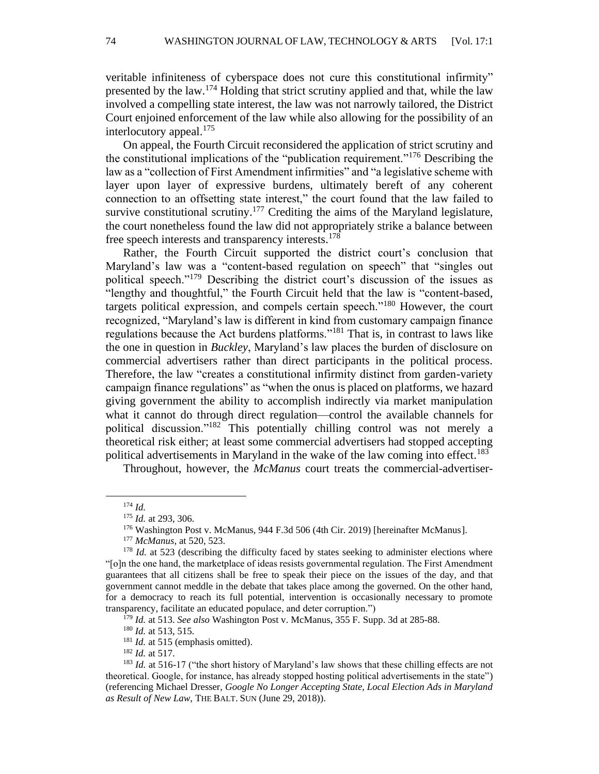veritable infiniteness of cyberspace does not cure this constitutional infirmity" presented by the law.<sup>174</sup> Holding that strict scrutiny applied and that, while the law involved a compelling state interest, the law was not narrowly tailored, the District Court enjoined enforcement of the law while also allowing for the possibility of an interlocutory appeal.<sup>175</sup>

On appeal, the Fourth Circuit reconsidered the application of strict scrutiny and the constitutional implications of the "publication requirement."<sup>176</sup> Describing the law as a "collection of First Amendment infirmities" and "a legislative scheme with layer upon layer of expressive burdens, ultimately bereft of any coherent connection to an offsetting state interest," the court found that the law failed to survive constitutional scrutiny.<sup>177</sup> Crediting the aims of the Maryland legislature, the court nonetheless found the law did not appropriately strike a balance between free speech interests and transparency interests.<sup>178</sup>

Rather, the Fourth Circuit supported the district court's conclusion that Maryland's law was a "content-based regulation on speech" that "singles out political speech."<sup>179</sup> Describing the district court's discussion of the issues as "lengthy and thoughtful," the Fourth Circuit held that the law is "content-based, targets political expression, and compels certain speech."<sup>180</sup> However, the court recognized, "Maryland's law is different in kind from customary campaign finance regulations because the Act burdens platforms."<sup>181</sup> That is, in contrast to laws like the one in question in *Buckley*, Maryland's law places the burden of disclosure on commercial advertisers rather than direct participants in the political process. Therefore, the law "creates a constitutional infirmity distinct from garden-variety campaign finance regulations" as "when the onus is placed on platforms, we hazard giving government the ability to accomplish indirectly via market manipulation what it cannot do through direct regulation—control the available channels for political discussion."<sup>182</sup> This potentially chilling control was not merely a theoretical risk either; at least some commercial advertisers had stopped accepting political advertisements in Maryland in the wake of the law coming into effect.<sup>183</sup>

Throughout, however, the *McManus* court treats the commercial-advertiser-

<sup>179</sup> *Id.* at 513. *See also* Washington Post v. McManus, 355 F. Supp. 3d at 285-88.

<sup>180</sup> *Id.* at 513, 515.

<sup>181</sup> *Id.* at 515 (emphasis omitted).

<sup>182</sup> *Id.* at 517.

<sup>174</sup> *Id.*

<sup>175</sup> *Id.* at 293, 306.

<sup>176</sup> Washington Post v. McManus, 944 F.3d 506 (4th Cir. 2019) [hereinafter McManus].

<sup>177</sup> *McManus*, at 520, 523.

<sup>&</sup>lt;sup>178</sup> *Id.* at 523 (describing the difficulty faced by states seeking to administer elections where "[o]n the one hand, the marketplace of ideas resists governmental regulation. The First Amendment guarantees that all citizens shall be free to speak their piece on the issues of the day, and that government cannot meddle in the debate that takes place among the governed. On the other hand, for a democracy to reach its full potential, intervention is occasionally necessary to promote transparency, facilitate an educated populace, and deter corruption.")

<sup>&</sup>lt;sup>183</sup> *Id.* at 516-17 ("the short history of Maryland's law shows that these chilling effects are not theoretical. Google, for instance, has already stopped hosting political advertisements in the state") (referencing Michael Dresser, *Google No Longer Accepting State, Local Election Ads in Maryland as Result of New Law*, THE BALT. SUN (June 29, 2018)).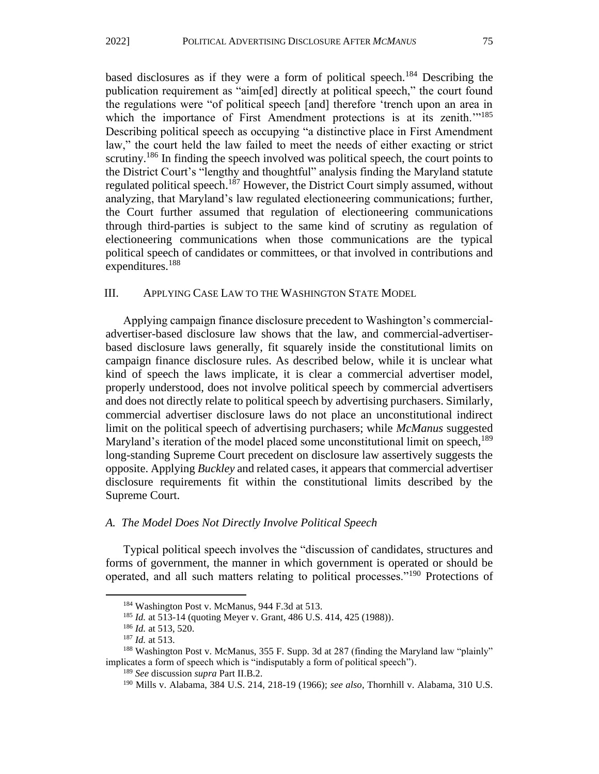based disclosures as if they were a form of political speech.<sup>184</sup> Describing the publication requirement as "aim[ed] directly at political speech," the court found the regulations were "of political speech [and] therefore 'trench upon an area in which the importance of First Amendment protections is at its zenith.<sup>''185</sup> Describing political speech as occupying "a distinctive place in First Amendment law," the court held the law failed to meet the needs of either exacting or strict scrutiny.<sup>186</sup> In finding the speech involved was political speech, the court points to the District Court's "lengthy and thoughtful" analysis finding the Maryland statute regulated political speech.<sup>187</sup> However, the District Court simply assumed, without analyzing, that Maryland's law regulated electioneering communications; further, the Court further assumed that regulation of electioneering communications through third-parties is subject to the same kind of scrutiny as regulation of electioneering communications when those communications are the typical political speech of candidates or committees, or that involved in contributions and expenditures.<sup>188</sup>

#### III. APPLYING CASE LAW TO THE WASHINGTON STATE MODEL

Applying campaign finance disclosure precedent to Washington's commercialadvertiser-based disclosure law shows that the law, and commercial-advertiserbased disclosure laws generally, fit squarely inside the constitutional limits on campaign finance disclosure rules. As described below, while it is unclear what kind of speech the laws implicate, it is clear a commercial advertiser model, properly understood, does not involve political speech by commercial advertisers and does not directly relate to political speech by advertising purchasers. Similarly, commercial advertiser disclosure laws do not place an unconstitutional indirect limit on the political speech of advertising purchasers; while *McManus* suggested Maryland's iteration of the model placed some unconstitutional limit on speech, <sup>189</sup> long-standing Supreme Court precedent on disclosure law assertively suggests the opposite. Applying *Buckley* and related cases, it appears that commercial advertiser disclosure requirements fit within the constitutional limits described by the Supreme Court.

#### *A. The Model Does Not Directly Involve Political Speech*

Typical political speech involves the "discussion of candidates, structures and forms of government, the manner in which government is operated or should be operated, and all such matters relating to political processes."<sup>190</sup> Protections of

<sup>184</sup> Washington Post v. McManus, 944 F.3d at 513.

<sup>185</sup> *Id.* at 513-14 (quoting Meyer v. Grant, 486 U.S. 414, 425 (1988)).

<sup>186</sup> *Id.* at 513, 520.

<sup>187</sup> *Id.* at 513.

<sup>188</sup> Washington Post v. McManus, 355 F. Supp. 3d at 287 (finding the Maryland law "plainly" implicates a form of speech which is "indisputably a form of political speech").

<sup>189</sup> *See* discussion *supra* Part II.B.2.

<sup>190</sup> Mills v. Alabama, 384 U.S. 214, 218-19 (1966); *see also*, Thornhill v. Alabama, 310 U.S.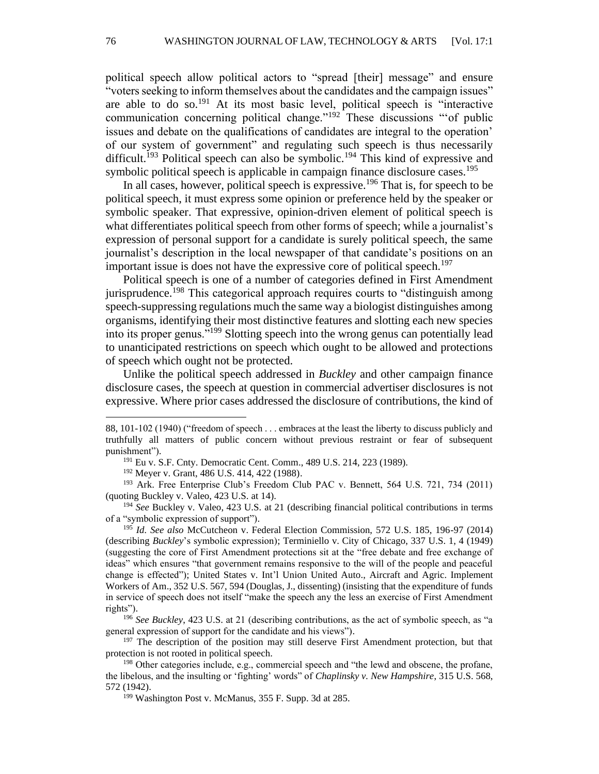political speech allow political actors to "spread [their] message" and ensure "voters seeking to inform themselves about the candidates and the campaign issues" are able to do so.<sup>191</sup> At its most basic level, political speech is "interactive communication concerning political change."<sup>192</sup> These discussions "'of public issues and debate on the qualifications of candidates are integral to the operation' of our system of government" and regulating such speech is thus necessarily difficult.<sup>193</sup> Political speech can also be symbolic.<sup>194</sup> This kind of expressive and symbolic political speech is applicable in campaign finance disclosure cases.<sup>195</sup>

In all cases, however, political speech is expressive.<sup>196</sup> That is, for speech to be political speech, it must express some opinion or preference held by the speaker or symbolic speaker. That expressive, opinion-driven element of political speech is what differentiates political speech from other forms of speech; while a journalist's expression of personal support for a candidate is surely political speech, the same journalist's description in the local newspaper of that candidate's positions on an important issue is does not have the expressive core of political speech.<sup>197</sup>

Political speech is one of a number of categories defined in First Amendment jurisprudence.<sup>198</sup> This categorical approach requires courts to "distinguish among speech-suppressing regulations much the same way a biologist distinguishes among organisms, identifying their most distinctive features and slotting each new species into its proper genus."<sup>199</sup> Slotting speech into the wrong genus can potentially lead to unanticipated restrictions on speech which ought to be allowed and protections of speech which ought not be protected.

Unlike the political speech addressed in *Buckley* and other campaign finance disclosure cases, the speech at question in commercial advertiser disclosures is not expressive. Where prior cases addressed the disclosure of contributions, the kind of

<sup>193</sup> Ark. Free Enterprise Club's Freedom Club PAC v. Bennett, 564 U.S. 721, 734 (2011) (quoting Buckley v. Valeo, 423 U.S. at 14).

<sup>194</sup> *See* Buckley v. Valeo, 423 U.S. at 21 (describing financial political contributions in terms of a "symbolic expression of support").

<sup>195</sup> *Id. See also* McCutcheon v. Federal Election Commission, 572 U.S. 185, 196-97 (2014) (describing *Buckley*'s symbolic expression); Terminiello v. City of Chicago, 337 U.S. 1, 4 (1949) (suggesting the core of First Amendment protections sit at the "free debate and free exchange of ideas" which ensures "that government remains responsive to the will of the people and peaceful change is effected"); United States v. Int'l Union United Auto., Aircraft and Agric. Implement Workers of Am., 352 U.S. 567, 594 (Douglas, J., dissenting) (insisting that the expenditure of funds in service of speech does not itself "make the speech any the less an exercise of First Amendment rights").

<sup>88, 101-102 (1940) (&</sup>quot;freedom of speech . . . embraces at the least the liberty to discuss publicly and truthfully all matters of public concern without previous restraint or fear of subsequent punishment").

<sup>&</sup>lt;sup>191</sup> Eu v. S.F. Cnty. Democratic Cent. Comm., 489 U.S. 214, 223 (1989).

<sup>192</sup> Meyer v. Grant, 486 U.S. 414, 422 (1988).

<sup>196</sup> *See Buckley*, 423 U.S. at 21 (describing contributions, as the act of symbolic speech, as "a general expression of support for the candidate and his views").

<sup>&</sup>lt;sup>197</sup> The description of the position may still deserve First Amendment protection, but that protection is not rooted in political speech.

<sup>198</sup> Other categories include, e.g., commercial speech and "the lewd and obscene, the profane, the libelous, and the insulting or 'fighting' words" of *Chaplinsky v. New Hampshire*, 315 U.S. 568, 572 (1942).

<sup>199</sup> Washington Post v. McManus, 355 F. Supp. 3d at 285.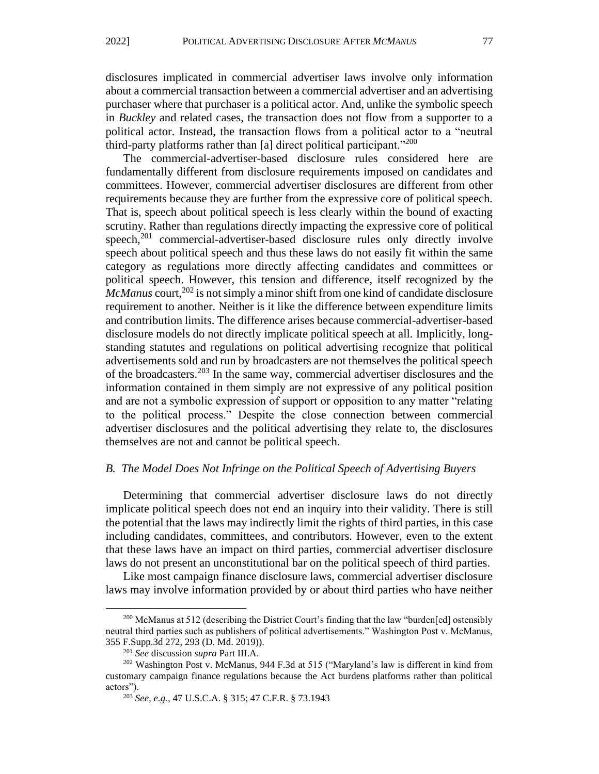disclosures implicated in commercial advertiser laws involve only information

about a commercial transaction between a commercial advertiser and an advertising purchaser where that purchaser is a political actor. And, unlike the symbolic speech in *Buckley* and related cases, the transaction does not flow from a supporter to a political actor. Instead, the transaction flows from a political actor to a "neutral third-party platforms rather than [a] direct political participant."<sup>200</sup>

The commercial-advertiser-based disclosure rules considered here are fundamentally different from disclosure requirements imposed on candidates and committees. However, commercial advertiser disclosures are different from other requirements because they are further from the expressive core of political speech. That is, speech about political speech is less clearly within the bound of exacting scrutiny. Rather than regulations directly impacting the expressive core of political speech,<sup>201</sup> commercial-advertiser-based disclosure rules only directly involve speech about political speech and thus these laws do not easily fit within the same category as regulations more directly affecting candidates and committees or political speech. However, this tension and difference, itself recognized by the *McManus* court,<sup>202</sup> is not simply a minor shift from one kind of candidate disclosure requirement to another. Neither is it like the difference between expenditure limits and contribution limits. The difference arises because commercial-advertiser-based disclosure models do not directly implicate political speech at all. Implicitly, longstanding statutes and regulations on political advertising recognize that political advertisements sold and run by broadcasters are not themselves the political speech of the broadcasters.<sup>203</sup> In the same way, commercial advertiser disclosures and the information contained in them simply are not expressive of any political position and are not a symbolic expression of support or opposition to any matter "relating to the political process." Despite the close connection between commercial advertiser disclosures and the political advertising they relate to, the disclosures themselves are not and cannot be political speech.

#### *B. The Model Does Not Infringe on the Political Speech of Advertising Buyers*

Determining that commercial advertiser disclosure laws do not directly implicate political speech does not end an inquiry into their validity. There is still the potential that the laws may indirectly limit the rights of third parties, in this case including candidates, committees, and contributors. However, even to the extent that these laws have an impact on third parties, commercial advertiser disclosure laws do not present an unconstitutional bar on the political speech of third parties.

Like most campaign finance disclosure laws, commercial advertiser disclosure laws may involve information provided by or about third parties who have neither

 $200$  McManus at 512 (describing the District Court's finding that the law "burden[ed] ostensibly neutral third parties such as publishers of political advertisements." Washington Post v. McManus, 355 F.Supp.3d 272, 293 (D. Md. 2019)).

<sup>201</sup> *See* discussion *supra* Part III.A.

<sup>202</sup> Washington Post v. McManus, 944 F.3d at 515 ("Maryland's law is different in kind from customary campaign finance regulations because the Act burdens platforms rather than political actors").

<sup>203</sup> *See, e.g.*, 47 U.S.C.A. § 315; 47 C.F.R. § 73.1943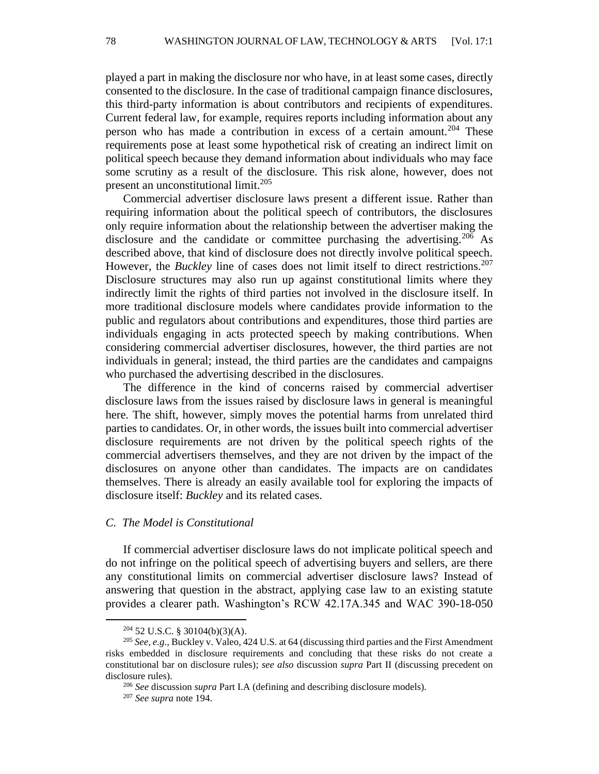played a part in making the disclosure nor who have, in at least some cases, directly consented to the disclosure. In the case of traditional campaign finance disclosures, this third-party information is about contributors and recipients of expenditures. Current federal law, for example, requires reports including information about any person who has made a contribution in excess of a certain amount.<sup>204</sup> These requirements pose at least some hypothetical risk of creating an indirect limit on political speech because they demand information about individuals who may face some scrutiny as a result of the disclosure. This risk alone, however, does not present an unconstitutional limit.<sup>205</sup>

Commercial advertiser disclosure laws present a different issue. Rather than requiring information about the political speech of contributors, the disclosures only require information about the relationship between the advertiser making the disclosure and the candidate or committee purchasing the advertising.<sup>206</sup> As described above, that kind of disclosure does not directly involve political speech. However, the *Buckley* line of cases does not limit itself to direct restrictions.<sup>207</sup> Disclosure structures may also run up against constitutional limits where they indirectly limit the rights of third parties not involved in the disclosure itself. In more traditional disclosure models where candidates provide information to the public and regulators about contributions and expenditures, those third parties are individuals engaging in acts protected speech by making contributions. When considering commercial advertiser disclosures, however, the third parties are not individuals in general; instead, the third parties are the candidates and campaigns who purchased the advertising described in the disclosures.

The difference in the kind of concerns raised by commercial advertiser disclosure laws from the issues raised by disclosure laws in general is meaningful here. The shift, however, simply moves the potential harms from unrelated third parties to candidates. Or, in other words, the issues built into commercial advertiser disclosure requirements are not driven by the political speech rights of the commercial advertisers themselves, and they are not driven by the impact of the disclosures on anyone other than candidates. The impacts are on candidates themselves. There is already an easily available tool for exploring the impacts of disclosure itself: *Buckley* and its related cases.

#### *C. The Model is Constitutional*

If commercial advertiser disclosure laws do not implicate political speech and do not infringe on the political speech of advertising buyers and sellers, are there any constitutional limits on commercial advertiser disclosure laws? Instead of answering that question in the abstract, applying case law to an existing statute provides a clearer path. Washington's RCW 42.17A.345 and WAC 390-18-050

 $204$  52 U.S.C. § 30104(b)(3)(A).

<sup>205</sup> *See, e.g.,* Buckley v. Valeo, 424 U.S. at 64 (discussing third parties and the First Amendment risks embedded in disclosure requirements and concluding that these risks do not create a constitutional bar on disclosure rules); *see also* discussion *supra* Part II (discussing precedent on disclosure rules).

<sup>206</sup> *See* discussion *supra* Part I.A (defining and describing disclosure models).

<sup>207</sup> *See supra* note 194.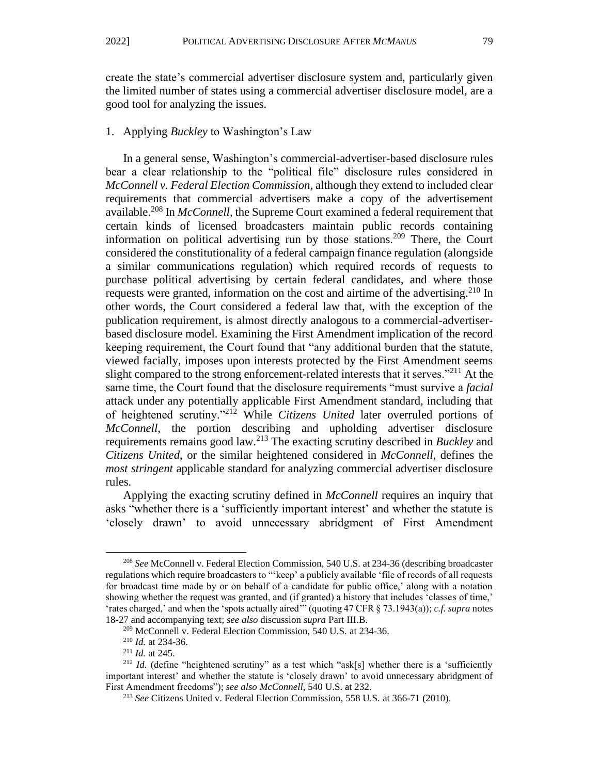create the state's commercial advertiser disclosure system and, particularly given the limited number of states using a commercial advertiser disclosure model, are a good tool for analyzing the issues.

#### 1. Applying *Buckley* to Washington's Law

In a general sense, Washington's commercial-advertiser-based disclosure rules bear a clear relationship to the "political file" disclosure rules considered in *McConnell v. Federal Election Commission*, although they extend to included clear requirements that commercial advertisers make a copy of the advertisement available.<sup>208</sup> In *McConnell*, the Supreme Court examined a federal requirement that certain kinds of licensed broadcasters maintain public records containing information on political advertising run by those stations.<sup>209</sup> There, the Court considered the constitutionality of a federal campaign finance regulation (alongside a similar communications regulation) which required records of requests to purchase political advertising by certain federal candidates, and where those requests were granted, information on the cost and airtime of the advertising.<sup>210</sup> In other words, the Court considered a federal law that, with the exception of the publication requirement, is almost directly analogous to a commercial-advertiserbased disclosure model. Examining the First Amendment implication of the record keeping requirement, the Court found that "any additional burden that the statute, viewed facially, imposes upon interests protected by the First Amendment seems slight compared to the strong enforcement-related interests that it serves."<sup>211</sup> At the same time, the Court found that the disclosure requirements "must survive a *facial* attack under any potentially applicable First Amendment standard, including that of heightened scrutiny."<sup>212</sup> While *Citizens United* later overruled portions of *McConnell*, the portion describing and upholding advertiser disclosure requirements remains good law.<sup>213</sup> The exacting scrutiny described in *Buckley* and *Citizens United*, or the similar heightened considered in *McConnell*, defines the *most stringent* applicable standard for analyzing commercial advertiser disclosure rules.

Applying the exacting scrutiny defined in *McConnell* requires an inquiry that asks "whether there is a 'sufficiently important interest' and whether the statute is 'closely drawn' to avoid unnecessary abridgment of First Amendment

<sup>208</sup> *See* McConnell v. Federal Election Commission, 540 U.S. at 234-36 (describing broadcaster regulations which require broadcasters to "'keep' a publicly available 'file of records of all requests for broadcast time made by or on behalf of a candidate for public office,' along with a notation showing whether the request was granted, and (if granted) a history that includes 'classes of time,' 'rates charged,' and when the 'spots actually aired'" (quoting 47 CFR § 73.1943(a)); *c.f. supra* notes 18-27 and accompanying text; *see also* discussion *supra* Part III.B.

<sup>209</sup> McConnell v. Federal Election Commission, 540 U.S. at 234-36.

<sup>210</sup> *Id.* at 234-36.

<sup>211</sup> *Id.* at 245.

<sup>&</sup>lt;sup>212</sup> *Id.* (define "heightened scrutiny" as a test which "ask[s] whether there is a 'sufficiently important interest' and whether the statute is 'closely drawn' to avoid unnecessary abridgment of First Amendment freedoms"); *see also McConnell*, 540 U.S. at 232.

<sup>213</sup> *See* Citizens United v. Federal Election Commission, 558 U.S. at 366-71 (2010).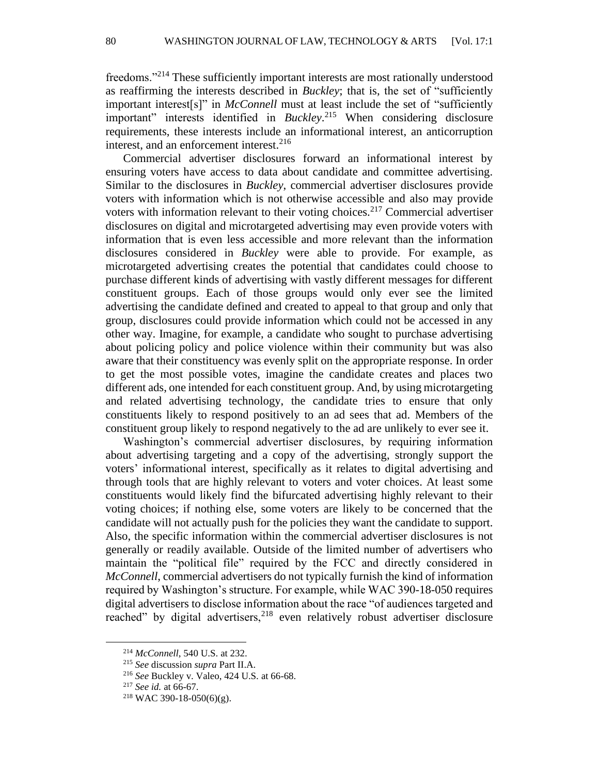freedoms."<sup>214</sup> These sufficiently important interests are most rationally understood as reaffirming the interests described in *Buckley*; that is, the set of "sufficiently important interest[s]" in *McConnell* must at least include the set of "sufficiently important" interests identified in *Buckley*. <sup>215</sup> When considering disclosure requirements, these interests include an informational interest, an anticorruption interest, and an enforcement interest.<sup>216</sup>

Commercial advertiser disclosures forward an informational interest by ensuring voters have access to data about candidate and committee advertising. Similar to the disclosures in *Buckley*, commercial advertiser disclosures provide voters with information which is not otherwise accessible and also may provide voters with information relevant to their voting choices.<sup>217</sup> Commercial advertiser disclosures on digital and microtargeted advertising may even provide voters with information that is even less accessible and more relevant than the information disclosures considered in *Buckley* were able to provide. For example, as microtargeted advertising creates the potential that candidates could choose to purchase different kinds of advertising with vastly different messages for different constituent groups. Each of those groups would only ever see the limited advertising the candidate defined and created to appeal to that group and only that group, disclosures could provide information which could not be accessed in any other way. Imagine, for example, a candidate who sought to purchase advertising about policing policy and police violence within their community but was also aware that their constituency was evenly split on the appropriate response. In order to get the most possible votes, imagine the candidate creates and places two different ads, one intended for each constituent group. And, by using microtargeting and related advertising technology, the candidate tries to ensure that only constituents likely to respond positively to an ad sees that ad. Members of the constituent group likely to respond negatively to the ad are unlikely to ever see it.

Washington's commercial advertiser disclosures, by requiring information about advertising targeting and a copy of the advertising, strongly support the voters' informational interest, specifically as it relates to digital advertising and through tools that are highly relevant to voters and voter choices. At least some constituents would likely find the bifurcated advertising highly relevant to their voting choices; if nothing else, some voters are likely to be concerned that the candidate will not actually push for the policies they want the candidate to support. Also, the specific information within the commercial advertiser disclosures is not generally or readily available. Outside of the limited number of advertisers who maintain the "political file" required by the FCC and directly considered in *McConnell*, commercial advertisers do not typically furnish the kind of information required by Washington's structure. For example, while WAC 390-18-050 requires digital advertisers to disclose information about the race "of audiences targeted and reached" by digital advertisers,<sup>218</sup> even relatively robust advertiser disclosure

<sup>214</sup> *McConnell*, 540 U.S. at 232.

<sup>215</sup> *See* discussion *supra* Part II.A.

<sup>216</sup> *See* Buckley v. Valeo, 424 U.S. at 66-68.

<sup>217</sup> *See id.* at 66-67.

 $218$  WAC 390-18-050(6)(g).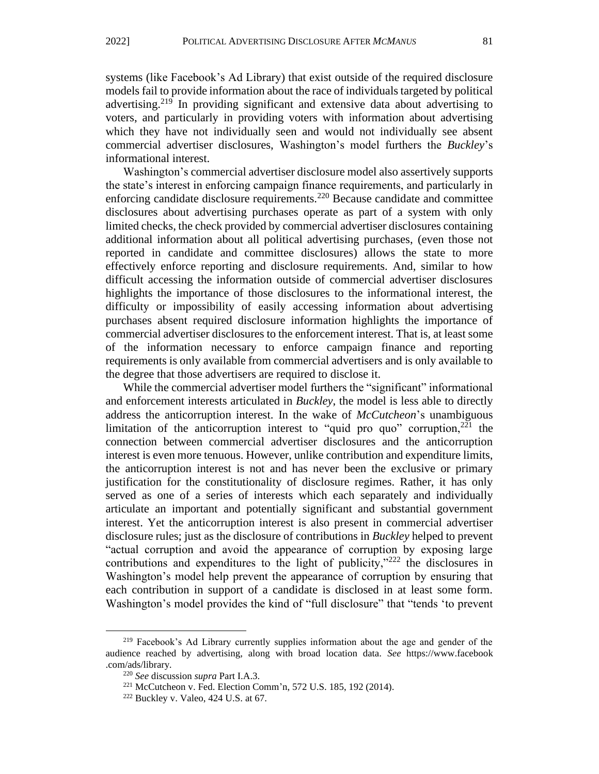systems (like Facebook's Ad Library) that exist outside of the required disclosure models fail to provide information about the race of individuals targeted by political advertising.<sup>219</sup> In providing significant and extensive data about advertising to voters, and particularly in providing voters with information about advertising which they have not individually seen and would not individually see absent commercial advertiser disclosures, Washington's model furthers the *Buckley*'s informational interest.

Washington's commercial advertiser disclosure model also assertively supports the state's interest in enforcing campaign finance requirements, and particularly in enforcing candidate disclosure requirements.<sup>220</sup> Because candidate and committee disclosures about advertising purchases operate as part of a system with only limited checks, the check provided by commercial advertiser disclosures containing additional information about all political advertising purchases, (even those not reported in candidate and committee disclosures) allows the state to more effectively enforce reporting and disclosure requirements. And, similar to how difficult accessing the information outside of commercial advertiser disclosures highlights the importance of those disclosures to the informational interest, the difficulty or impossibility of easily accessing information about advertising purchases absent required disclosure information highlights the importance of commercial advertiser disclosures to the enforcement interest. That is, at least some of the information necessary to enforce campaign finance and reporting requirements is only available from commercial advertisers and is only available to the degree that those advertisers are required to disclose it.

While the commercial advertiser model furthers the "significant" informational and enforcement interests articulated in *Buckley*, the model is less able to directly address the anticorruption interest. In the wake of *McCutcheon*'s unambiguous limitation of the anticorruption interest to "quid pro quo" corruption, $221$  the connection between commercial advertiser disclosures and the anticorruption interest is even more tenuous. However, unlike contribution and expenditure limits, the anticorruption interest is not and has never been the exclusive or primary justification for the constitutionality of disclosure regimes. Rather, it has only served as one of a series of interests which each separately and individually articulate an important and potentially significant and substantial government interest. Yet the anticorruption interest is also present in commercial advertiser disclosure rules; just as the disclosure of contributions in *Buckley* helped to prevent "actual corruption and avoid the appearance of corruption by exposing large contributions and expenditures to the light of publicity,"<sup>222</sup> the disclosures in Washington's model help prevent the appearance of corruption by ensuring that each contribution in support of a candidate is disclosed in at least some form. Washington's model provides the kind of "full disclosure" that "tends 'to prevent

<sup>&</sup>lt;sup>219</sup> Facebook's Ad Library currently supplies information about the age and gender of the audience reached by advertising, along with broad location data. *See* https://www.facebook .com/ads/library*.*

<sup>220</sup> *See* discussion *supra* Part I.A.3.

<sup>221</sup> McCutcheon v. Fed. Election Comm'n, 572 U.S. 185, 192 (2014).

<sup>222</sup> Buckley v. Valeo, 424 U.S. at 67.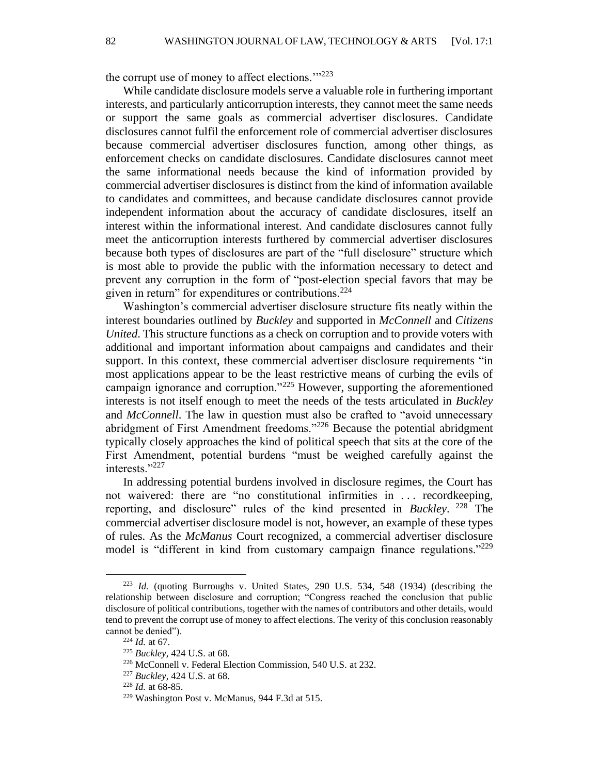82 WASHINGTON JOURNAL OF LAW, TECHNOLOGY & ARTS [Vol. 17:1

the corrupt use of money to affect elections."<sup>223</sup>

While candidate disclosure models serve a valuable role in furthering important interests, and particularly anticorruption interests, they cannot meet the same needs or support the same goals as commercial advertiser disclosures. Candidate disclosures cannot fulfil the enforcement role of commercial advertiser disclosures because commercial advertiser disclosures function, among other things, as enforcement checks on candidate disclosures. Candidate disclosures cannot meet the same informational needs because the kind of information provided by commercial advertiser disclosures is distinct from the kind of information available to candidates and committees, and because candidate disclosures cannot provide independent information about the accuracy of candidate disclosures, itself an interest within the informational interest. And candidate disclosures cannot fully meet the anticorruption interests furthered by commercial advertiser disclosures because both types of disclosures are part of the "full disclosure" structure which is most able to provide the public with the information necessary to detect and prevent any corruption in the form of "post-election special favors that may be given in return" for expenditures or contributions.<sup>224</sup>

Washington's commercial advertiser disclosure structure fits neatly within the interest boundaries outlined by *Buckley* and supported in *McConnell* and *Citizens United*. This structure functions as a check on corruption and to provide voters with additional and important information about campaigns and candidates and their support. In this context, these commercial advertiser disclosure requirements "in most applications appear to be the least restrictive means of curbing the evils of campaign ignorance and corruption."<sup>225</sup> However, supporting the aforementioned interests is not itself enough to meet the needs of the tests articulated in *Buckley*  and *McConnell*. The law in question must also be crafted to "avoid unnecessary abridgment of First Amendment freedoms."<sup>226</sup> Because the potential abridgment typically closely approaches the kind of political speech that sits at the core of the First Amendment, potential burdens "must be weighed carefully against the interests."227

In addressing potential burdens involved in disclosure regimes, the Court has not waivered: there are "no constitutional infirmities in . . . recordkeeping, reporting, and disclosure" rules of the kind presented in *Buckley*. <sup>228</sup> The commercial advertiser disclosure model is not, however, an example of these types of rules. As the *McManus* Court recognized, a commercial advertiser disclosure model is "different in kind from customary campaign finance regulations."<sup>229</sup>

<sup>223</sup> *Id.* (quoting Burroughs v. United States, 290 U.S. 534, 548 (1934) (describing the relationship between disclosure and corruption; "Congress reached the conclusion that public disclosure of political contributions, together with the names of contributors and other details, would tend to prevent the corrupt use of money to affect elections. The verity of this conclusion reasonably cannot be denied").

<sup>224</sup> *Id.* at 67.

<sup>225</sup> *Buckley*, 424 U.S. at 68.

<sup>226</sup> McConnell v. Federal Election Commission, 540 U.S. at 232.

<sup>227</sup> *Buckley*, 424 U.S. at 68.

<sup>228</sup> *Id.* at 68-85.

<sup>229</sup> Washington Post v. McManus, 944 F.3d at 515.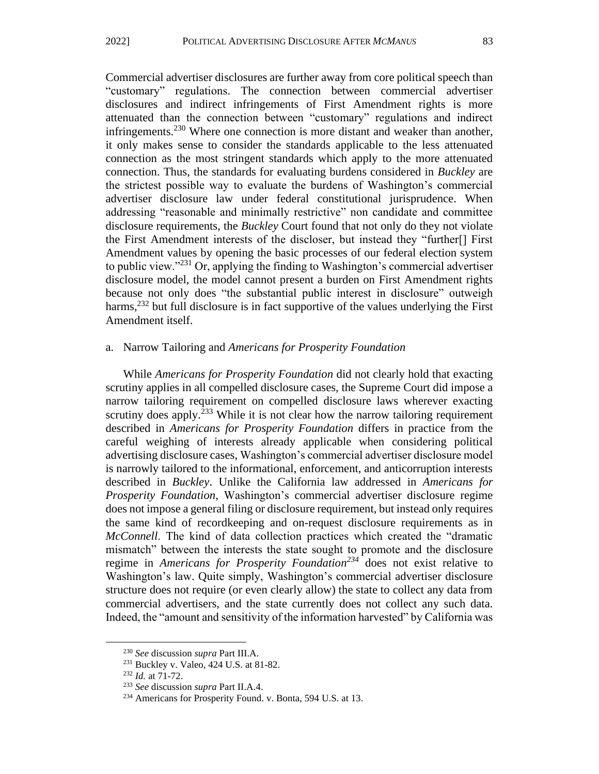Commercial advertiser disclosures are further away from core political speech than "customary" regulations. The connection between commercial advertiser disclosures and indirect infringements of First Amendment rights is more attenuated than the connection between "customary" regulations and indirect infringements.<sup>230</sup> Where one connection is more distant and weaker than another, it only makes sense to consider the standards applicable to the less attenuated connection as the most stringent standards which apply to the more attenuated connection. Thus, the standards for evaluating burdens considered in *Buckley* are the strictest possible way to evaluate the burdens of Washington's commercial advertiser disclosure law under federal constitutional jurisprudence. When addressing "reasonable and minimally restrictive" non candidate and committee disclosure requirements, the *Buckley* Court found that not only do they not violate the First Amendment interests of the discloser, but instead they "further[] First Amendment values by opening the basic processes of our federal election system to public view. $1231$  Or, applying the finding to Washington's commercial advertiser disclosure model, the model cannot present a burden on First Amendment rights because not only does "the substantial public interest in disclosure" outweigh harms,  $232$  but full disclosure is in fact supportive of the values underlying the First Amendment itself.

#### a. Narrow Tailoring and *Americans for Prosperity Foundation*

While *Americans for Prosperity Foundation* did not clearly hold that exacting scrutiny applies in all compelled disclosure cases, the Supreme Court did impose a narrow tailoring requirement on compelled disclosure laws wherever exacting scrutiny does apply.<sup>233</sup> While it is not clear how the narrow tailoring requirement described in *Americans for Prosperity Foundation* differs in practice from the careful weighing of interests already applicable when considering political advertising disclosure cases, Washington's commercial advertiser disclosure model is narrowly tailored to the informational, enforcement, and anticorruption interests described in *Buckley*. Unlike the California law addressed in *Americans for Prosperity Foundation*, Washington's commercial advertiser disclosure regime does not impose a general filing or disclosure requirement, but instead only requires the same kind of recordkeeping and on-request disclosure requirements as in *McConnell*. The kind of data collection practices which created the "dramatic mismatch" between the interests the state sought to promote and the disclosure regime in *Americans for Prosperity Foundation<sup>234</sup>* does not exist relative to Washington's law. Quite simply, Washington's commercial advertiser disclosure structure does not require (or even clearly allow) the state to collect any data from commercial advertisers, and the state currently does not collect any such data. Indeed, the "amount and sensitivity of the information harvested" by California was

<sup>230</sup> *See* discussion *supra* Part III.A.

<sup>231</sup> Buckley v. Valeo, 424 U.S. at 81-82.

<sup>232</sup> *Id.* at 71-72.

<sup>233</sup> *See* discussion *supra* Part II.A.4.

<sup>234</sup> Americans for Prosperity Found. v. Bonta, 594 U.S. at 13.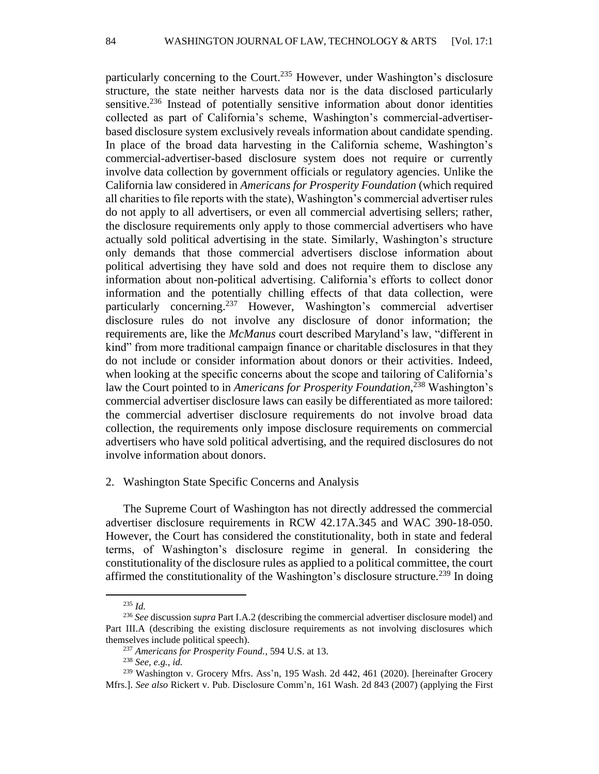particularly concerning to the Court.<sup>235</sup> However, under Washington's disclosure structure, the state neither harvests data nor is the data disclosed particularly sensitive.<sup>236</sup> Instead of potentially sensitive information about donor identities collected as part of California's scheme, Washington's commercial-advertiserbased disclosure system exclusively reveals information about candidate spending. In place of the broad data harvesting in the California scheme, Washington's commercial-advertiser-based disclosure system does not require or currently involve data collection by government officials or regulatory agencies. Unlike the California law considered in *Americans for Prosperity Foundation* (which required all charities to file reports with the state), Washington's commercial advertiser rules do not apply to all advertisers, or even all commercial advertising sellers; rather, the disclosure requirements only apply to those commercial advertisers who have actually sold political advertising in the state. Similarly, Washington's structure only demands that those commercial advertisers disclose information about political advertising they have sold and does not require them to disclose any information about non-political advertising. California's efforts to collect donor information and the potentially chilling effects of that data collection, were particularly concerning.<sup>237</sup> However, Washington's commercial advertiser disclosure rules do not involve any disclosure of donor information; the requirements are, like the *McManus* court described Maryland's law, "different in kind" from more traditional campaign finance or charitable disclosures in that they do not include or consider information about donors or their activities. Indeed, when looking at the specific concerns about the scope and tailoring of California's law the Court pointed to in *Americans for Prosperity Foundation,* <sup>238</sup> Washington's commercial advertiser disclosure laws can easily be differentiated as more tailored: the commercial advertiser disclosure requirements do not involve broad data collection, the requirements only impose disclosure requirements on commercial advertisers who have sold political advertising, and the required disclosures do not involve information about donors.

#### 2. Washington State Specific Concerns and Analysis

The Supreme Court of Washington has not directly addressed the commercial advertiser disclosure requirements in RCW 42.17A.345 and WAC 390-18-050. However, the Court has considered the constitutionality, both in state and federal terms, of Washington's disclosure regime in general. In considering the constitutionality of the disclosure rules as applied to a political committee, the court affirmed the constitutionality of the Washington's disclosure structure.<sup>239</sup> In doing

<sup>235</sup> *Id.*

<sup>236</sup> *See* discussion *supra* Part I.A.2 (describing the commercial advertiser disclosure model) and Part III.A (describing the existing disclosure requirements as not involving disclosures which themselves include political speech).

<sup>237</sup> *Americans for Prosperity Found.*, 594 U.S. at 13.

<sup>238</sup> *See, e.g., id.*

<sup>239</sup> Washington v. Grocery Mfrs. Ass'n, 195 Wash. 2d 442, 461 (2020). [hereinafter Grocery Mfrs.]. *See also* Rickert v. Pub. Disclosure Comm'n, 161 Wash. 2d 843 (2007) (applying the First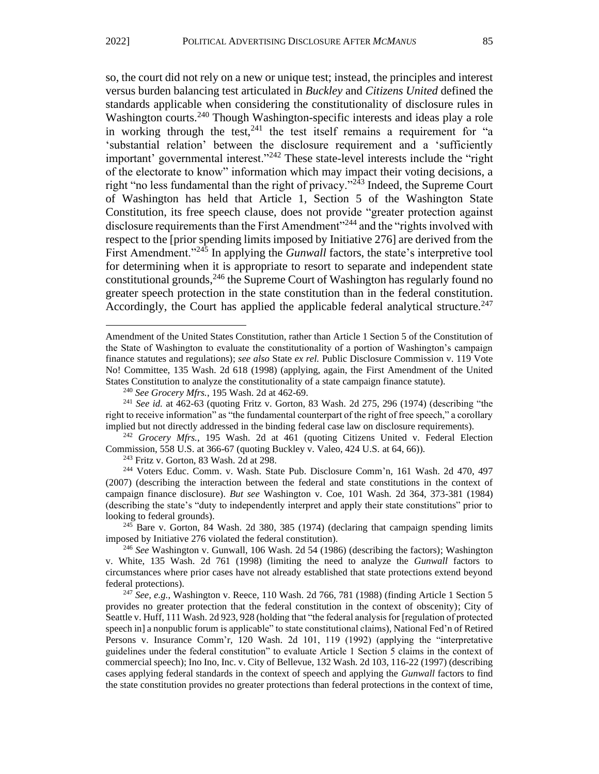so, the court did not rely on a new or unique test; instead, the principles and interest versus burden balancing test articulated in *Buckley* and *Citizens United* defined the standards applicable when considering the constitutionality of disclosure rules in Washington courts.<sup>240</sup> Though Washington-specific interests and ideas play a role in working through the test,  $241$  the test itself remains a requirement for "a 'substantial relation' between the disclosure requirement and a 'sufficiently important' governmental interest."<sup>242</sup> These state-level interests include the "right" of the electorate to know" information which may impact their voting decisions, a right "no less fundamental than the right of privacy."<sup> $2\overline{4}3$ </sup> Indeed, the Supreme Court of Washington has held that Article 1, Section 5 of the Washington State Constitution, its free speech clause, does not provide "greater protection against disclosure requirements than the First Amendment<sup>"244</sup> and the "rights involved with respect to the [prior spending limits imposed by Initiative 276] are derived from the First Amendment."<sup>245</sup> In applying the *Gunwall* factors, the state's interpretive tool for determining when it is appropriate to resort to separate and independent state constitutional grounds,  $246$  the Supreme Court of Washington has regularly found no greater speech protection in the state constitution than in the federal constitution. Accordingly, the Court has applied the applicable federal analytical structure.<sup>247</sup>

<sup>242</sup> *Grocery Mfrs.*, 195 Wash. 2d at 461 (quoting Citizens United v. Federal Election Commission, 558 U.S. at 366-67 (quoting Buckley v. Valeo, 424 U.S. at 64, 66)).

 $243$  Fritz v. Gorton, 83 Wash. 2d at 298.

<sup>244</sup> Voters Educ. Comm. v. Wash. State Pub. Disclosure Comm'n, 161 Wash. 2d 470, 497 (2007) (describing the interaction between the federal and state constitutions in the context of campaign finance disclosure). *But see* Washington v. Coe, 101 Wash. 2d 364, 373-381 (1984) (describing the state's "duty to independently interpret and apply their state constitutions" prior to looking to federal grounds).

 $245$  Bare v. Gorton, 84 Wash. 2d 380, 385 (1974) (declaring that campaign spending limits imposed by Initiative 276 violated the federal constitution).

Amendment of the United States Constitution, rather than Article 1 Section 5 of the Constitution of the State of Washington to evaluate the constitutionality of a portion of Washington's campaign finance statutes and regulations); *see also* State *ex rel.* Public Disclosure Commission v. 119 Vote No! Committee, 135 Wash. 2d 618 (1998) (applying, again, the First Amendment of the United States Constitution to analyze the constitutionality of a state campaign finance statute).

<sup>240</sup> *See Grocery Mfrs.*, 195 Wash. 2d at 462-69.

<sup>241</sup> *See id.* at 462-63 (quoting Fritz v. Gorton, 83 Wash. 2d 275, 296 (1974) (describing "the right to receive information" as "the fundamental counterpart of the right of free speech," a corollary implied but not directly addressed in the binding federal case law on disclosure requirements).

<sup>246</sup> *See* Washington v. Gunwall, 106 Wash. 2d 54 (1986) (describing the factors); Washington v. White, 135 Wash. 2d 761 (1998) (limiting the need to analyze the *Gunwall* factors to circumstances where prior cases have not already established that state protections extend beyond federal protections).

<sup>247</sup> *See, e.g.*, Washington v. Reece, 110 Wash. 2d 766, 781 (1988) (finding Article 1 Section 5 provides no greater protection that the federal constitution in the context of obscenity); City of Seattle v. Huff, 111 Wash. 2d 923, 928 (holding that "the federal analysis for [regulation of protected speech in] a nonpublic forum is applicable" to state constitutional claims), National Fed'n of Retired Persons v. Insurance Comm'r, 120 Wash. 2d 101, 119 (1992) (applying the "interpretative guidelines under the federal constitution" to evaluate Article 1 Section 5 claims in the context of commercial speech); Ino Ino, Inc. v. City of Bellevue, 132 Wash. 2d 103, 116-22 (1997) (describing cases applying federal standards in the context of speech and applying the *Gunwall* factors to find the state constitution provides no greater protections than federal protections in the context of time,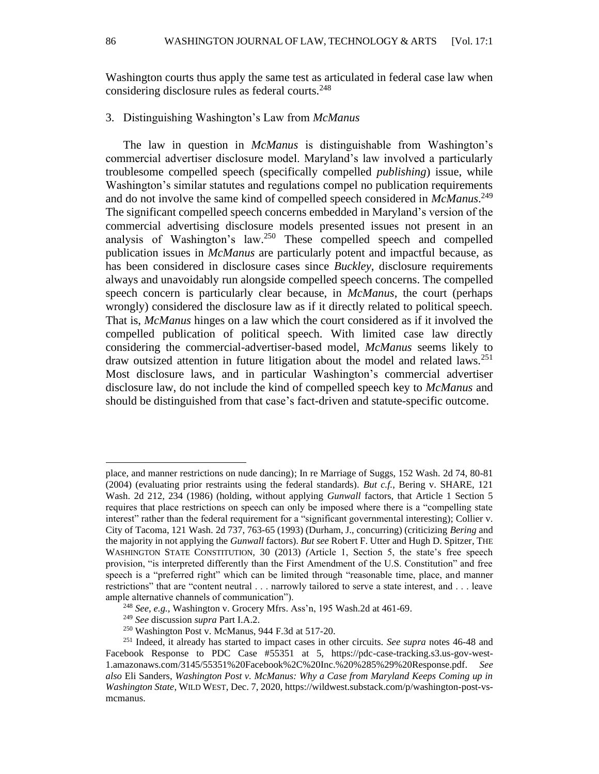Washington courts thus apply the same test as articulated in federal case law when considering disclosure rules as federal courts.<sup>248</sup>

#### 3. Distinguishing Washington's Law from *McManus*

The law in question in *McManus* is distinguishable from Washington's commercial advertiser disclosure model. Maryland's law involved a particularly troublesome compelled speech (specifically compelled *publishing*) issue, while Washington's similar statutes and regulations compel no publication requirements and do not involve the same kind of compelled speech considered in *McManus*. 249 The significant compelled speech concerns embedded in Maryland's version of the commercial advertising disclosure models presented issues not present in an analysis of Washington's law.<sup>250</sup> These compelled speech and compelled publication issues in *McManus* are particularly potent and impactful because, as has been considered in disclosure cases since *Buckley*, disclosure requirements always and unavoidably run alongside compelled speech concerns. The compelled speech concern is particularly clear because, in *McManus*, the court (perhaps wrongly) considered the disclosure law as if it directly related to political speech. That is, *McManus* hinges on a law which the court considered as if it involved the compelled publication of political speech. With limited case law directly considering the commercial-advertiser-based model, *McManus* seems likely to draw outsized attention in future litigation about the model and related laws.<sup>251</sup> Most disclosure laws, and in particular Washington's commercial advertiser disclosure law, do not include the kind of compelled speech key to *McManus* and should be distinguished from that case's fact-driven and statute-specific outcome.

place, and manner restrictions on nude dancing); In re Marriage of Suggs, 152 Wash. 2d 74, 80-81 (2004) (evaluating prior restraints using the federal standards). *But c.f.*, Bering v. SHARE, 121 Wash. 2d 212, 234 (1986) (holding, without applying *Gunwall* factors, that Article 1 Section 5 requires that place restrictions on speech can only be imposed where there is a "compelling state interest" rather than the federal requirement for a "significant governmental interesting); Collier v. City of Tacoma, 121 Wash. 2d 737, 763-65 (1993) (Durham, J., concurring) (criticizing *Bering* and the majority in not applying the *Gunwall* factors). *But see* Robert F. Utter and Hugh D. Spitzer*,* THE WASHINGTON STATE CONSTITUTION*,* 30 (2013) *(*Article 1, Section 5, the state's free speech provision, "is interpreted differently than the First Amendment of the U.S. Constitution" and free speech is a "preferred right" which can be limited through "reasonable time, place, and manner restrictions" that are "content neutral . . . narrowly tailored to serve a state interest, and . . . leave ample alternative channels of communication").

<sup>248</sup> *See, e.g.,* Washington v. Grocery Mfrs. Ass'n, 195 Wash.2d at 461-69.

<sup>249</sup> *See* discussion *supra* Part I.A.2.

<sup>250</sup> Washington Post v. McManus, 944 F.3d at 517-20.

<sup>251</sup> Indeed, it already has started to impact cases in other circuits. *See supra* notes 46-48 and Facebook Response to PDC Case #55351 at 5, https://pdc-case-tracking.s3.us-gov-west-1.amazonaws.com/3145/55351%20Facebook%2C%20Inc.%20%285%29%20Response.pdf. *See also* Eli Sanders, *Washington Post v. McManus: Why a Case from Maryland Keeps Coming up in Washington State*, WILD WEST, Dec. 7, 2020, https://wildwest.substack.com/p/washington-post-vsmcmanus.